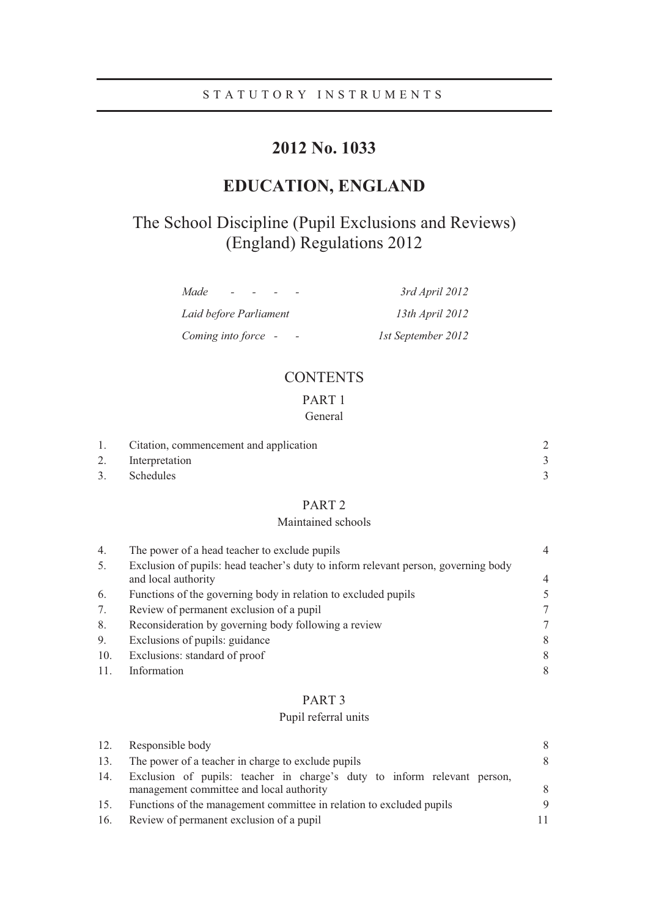# **2012 No. 1033**

# **EDUCATION, ENGLAND**

# The School Discipline (Pupil Exclusions and Reviews) (England) Regulations 2012

| Made                   | 3rd April 2012         |
|------------------------|------------------------|
| Laid before Parliament | 13th <i>April</i> 2012 |
| Coming into force -    | 1st September 2012     |

# **CONTENTS**

# PART 1

| General |
|---------|
|---------|

| 1. Citation, commencement and application |  |
|-------------------------------------------|--|
| 2. Interpretation                         |  |
| 3. Schedules                              |  |

# PART 2

# Maintained schools

| 4.  | The power of a head teacher to exclude pupils                                                             | 4      |
|-----|-----------------------------------------------------------------------------------------------------------|--------|
| 5.  | Exclusion of pupils: head teacher's duty to inform relevant person, governing body<br>and local authority | 4      |
| 6.  | Functions of the governing body in relation to excluded pupils                                            | $\sim$ |
| 7.  | Review of permanent exclusion of a pupil                                                                  | 7      |
| 8.  | Reconsideration by governing body following a review                                                      |        |
| 9.  | Exclusions of pupils: guidance                                                                            | 8      |
| 10. | Exclusions: standard of proof                                                                             | 8      |
|     | Information                                                                                               | 8      |

## PART 3

## Pupil referral units

| 12. | Responsible body                                                                                                     | 8   |
|-----|----------------------------------------------------------------------------------------------------------------------|-----|
| 13. | The power of a teacher in charge to exclude pupils                                                                   | 8   |
| 14. | Exclusion of pupils: teacher in charge's duty to inform relevant person,<br>management committee and local authority | 8   |
| 15. | Functions of the management committee in relation to excluded pupils                                                 | 9   |
| 16. | Review of permanent exclusion of a pupil                                                                             | 11. |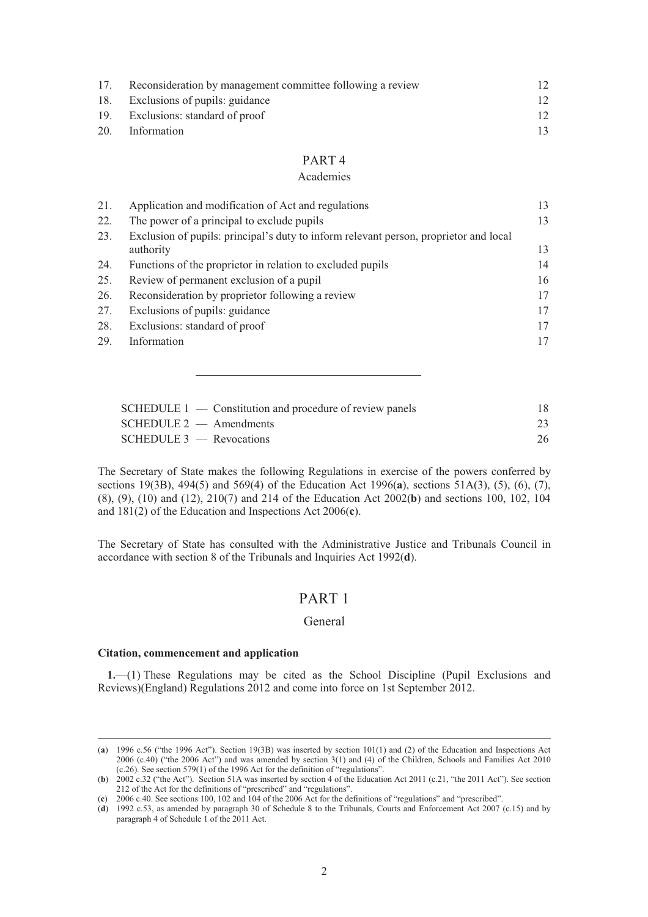| 17. | Reconsideration by management committee following a review |    |
|-----|------------------------------------------------------------|----|
|     | 18. Exclusions of pupils: guidance                         | 12 |
|     | 19. Exclusions: standard of proof                          | 12 |
| 20. | Information                                                |    |

#### PART 4

#### Academies

| 21. | Application and modification of Act and regulations                                                | 13 |
|-----|----------------------------------------------------------------------------------------------------|----|
| 22. | The power of a principal to exclude pupils                                                         | 13 |
| 23. | Exclusion of pupils: principal's duty to inform relevant person, proprietor and local<br>authority | 13 |
| 24. | Functions of the proprietor in relation to excluded pupils                                         | 14 |
| 25. | Review of permanent exclusion of a pupil                                                           | 16 |
| 26. | Reconsideration by proprietor following a review                                                   | 17 |
| 27. | Exclusions of pupils: guidance                                                                     | 17 |
| 28. | Exclusions: standard of proof                                                                      | 17 |
| 29. | Information                                                                                        | 17 |

| $SCHEDULE 1$ — Constitution and procedure of review panels | 18. |
|------------------------------------------------------------|-----|
| $SCHEDULE2$ — Amendments                                   | 23  |
| $SCHEDULE3$ — Revocations                                  | 26  |

The Secretary of State makes the following Regulations in exercise of the powers conferred by sections 19(3B), 494(5) and 569(4) of the Education Act 1996(**a**), sections 51A(3), (5), (6), (7), (8), (9), (10) and (12), 210(7) and 214 of the Education Act 2002(**b**) and sections 100, 102, 104 and 181(2) of the Education and Inspections Act 2006(**c**).

The Secretary of State has consulted with the Administrative Justice and Tribunals Council in accordance with section 8 of the Tribunals and Inquiries Act 1992(**d**).

# PART 1

#### General

#### **Citation, commencement and application**

**1.**—(1) These Regulations may be cited as the School Discipline (Pupil Exclusions and Reviews)(England) Regulations 2012 and come into force on 1st September 2012.

 <sup>(</sup>**a**) 1996 c.56 ("the 1996 Act"). Section 19(3B) was inserted by section 101(1) and (2) of the Education and Inspections Act 2006 (c.40) ("the 2006 Act") and was amended by section 3(1) and (4) of the Children, Schools and Families Act 2010 (c.26). See section 579(1) of the 1996 Act for the definition of "regulations".

<sup>(</sup>**b**) 2002 c.32 ("the Act"). Section 51A was inserted by section 4 of the Education Act 2011 (c.21, "the 2011 Act"). See section 212 of the Act for the definitions of "prescribed" and "regulations".

<sup>(</sup>**c**) 2006 c.40. See sections 100, 102 and 104 of the 2006 Act for the definitions of "regulations" and "prescribed".

<sup>(</sup>**d**) 1992 c.53, as amended by paragraph 30 of Schedule 8 to the Tribunals, Courts and Enforcement Act 2007 (c.15) and by paragraph 4 of Schedule 1 of the 2011 Act.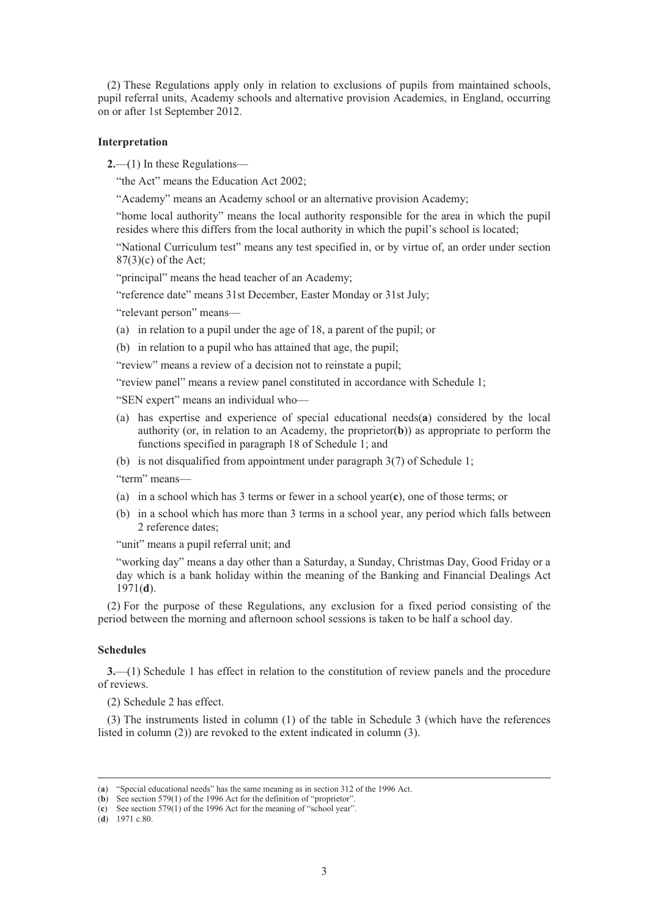(2) These Regulations apply only in relation to exclusions of pupils from maintained schools, pupil referral units, Academy schools and alternative provision Academies, in England, occurring on or after 1st September 2012.

#### **Interpretation**

**2.**—(1) In these Regulations—

"the Act" means the Education Act 2002;

"Academy" means an Academy school or an alternative provision Academy;

"home local authority" means the local authority responsible for the area in which the pupil resides where this differs from the local authority in which the pupil's school is located;

"National Curriculum test" means any test specified in, or by virtue of, an order under section 87(3)(c) of the Act;

"principal" means the head teacher of an Academy;

"reference date" means 31st December, Easter Monday or 31st July;

"relevant person" means—

(a) in relation to a pupil under the age of 18, a parent of the pupil; or

(b) in relation to a pupil who has attained that age, the pupil;

"review" means a review of a decision not to reinstate a pupil;

"review panel" means a review panel constituted in accordance with Schedule 1;

"SEN expert" means an individual who—

- (a) has expertise and experience of special educational needs(**a**) considered by the local authority (or, in relation to an Academy, the proprietor(**b**)) as appropriate to perform the functions specified in paragraph 18 of Schedule 1; and
- (b) is not disqualified from appointment under paragraph 3(7) of Schedule 1;

"term" means—

- (a) in a school which has 3 terms or fewer in a school year(**c**), one of those terms; or
- (b) in a school which has more than 3 terms in a school year, any period which falls between 2 reference dates;

"unit" means a pupil referral unit; and

"working day" means a day other than a Saturday, a Sunday, Christmas Day, Good Friday or a day which is a bank holiday within the meaning of the Banking and Financial Dealings Act 1971(**d**).

(2) For the purpose of these Regulations, any exclusion for a fixed period consisting of the period between the morning and afternoon school sessions is taken to be half a school day.

#### **Schedules**

**3.**—(1) Schedule 1 has effect in relation to the constitution of review panels and the procedure of reviews.

(2) Schedule 2 has effect.

(3) The instruments listed in column (1) of the table in Schedule 3 (which have the references listed in column (2)) are revoked to the extent indicated in column (3).

 <sup>(</sup>**a**) "Special educational needs" has the same meaning as in section 312 of the 1996 Act.

<sup>(</sup>**b**) See section 579(1) of the 1996 Act for the definition of "proprietor".

<sup>(</sup>**c**) See section 579(1) of the 1996 Act for the meaning of "school year".

<sup>(</sup>**d**) 1971 c.80.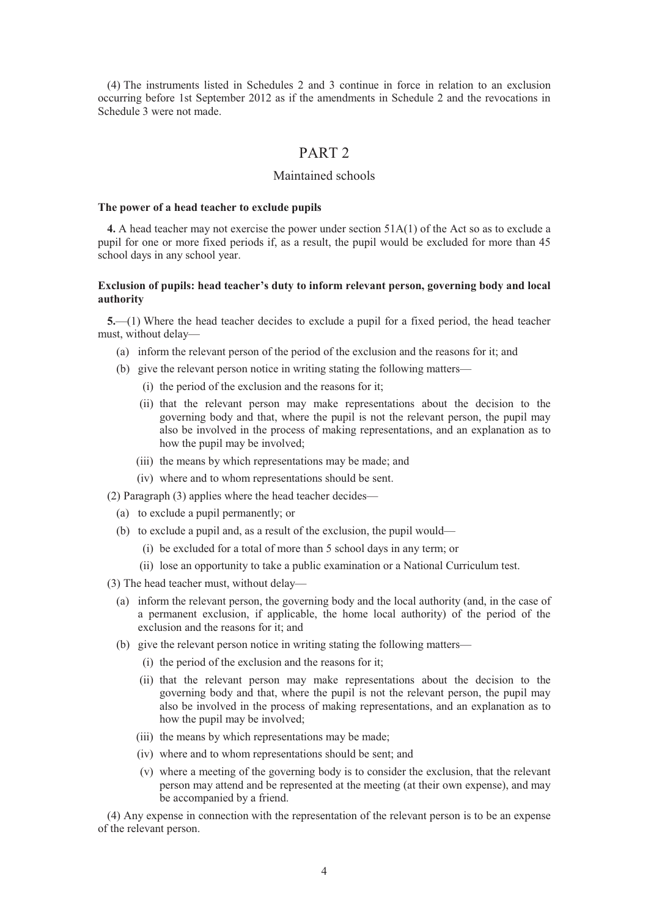(4) The instruments listed in Schedules 2 and 3 continue in force in relation to an exclusion occurring before 1st September 2012 as if the amendments in Schedule 2 and the revocations in Schedule 3 were not made.

# PART 2

## Maintained schools

#### **The power of a head teacher to exclude pupils**

**4.** A head teacher may not exercise the power under section 51A(1) of the Act so as to exclude a pupil for one or more fixed periods if, as a result, the pupil would be excluded for more than 45 school days in any school year.

#### **Exclusion of pupils: head teacher's duty to inform relevant person, governing body and local authority**

**5.**—(1) Where the head teacher decides to exclude a pupil for a fixed period, the head teacher must, without delay—

- (a) inform the relevant person of the period of the exclusion and the reasons for it; and
- (b) give the relevant person notice in writing stating the following matters—
	- (i) the period of the exclusion and the reasons for it;
	- (ii) that the relevant person may make representations about the decision to the governing body and that, where the pupil is not the relevant person, the pupil may also be involved in the process of making representations, and an explanation as to how the pupil may be involved;
	- (iii) the means by which representations may be made; and
	- (iv) where and to whom representations should be sent.
- (2) Paragraph (3) applies where the head teacher decides—
	- (a) to exclude a pupil permanently; or
	- (b) to exclude a pupil and, as a result of the exclusion, the pupil would—
		- (i) be excluded for a total of more than 5 school days in any term; or
		- (ii) lose an opportunity to take a public examination or a National Curriculum test.
- (3) The head teacher must, without delay—
	- (a) inform the relevant person, the governing body and the local authority (and, in the case of a permanent exclusion, if applicable, the home local authority) of the period of the exclusion and the reasons for it; and
	- (b) give the relevant person notice in writing stating the following matters—
		- (i) the period of the exclusion and the reasons for it;
		- (ii) that the relevant person may make representations about the decision to the governing body and that, where the pupil is not the relevant person, the pupil may also be involved in the process of making representations, and an explanation as to how the pupil may be involved;
		- (iii) the means by which representations may be made;
		- (iv) where and to whom representations should be sent; and
		- (v) where a meeting of the governing body is to consider the exclusion, that the relevant person may attend and be represented at the meeting (at their own expense), and may be accompanied by a friend.

(4) Any expense in connection with the representation of the relevant person is to be an expense of the relevant person.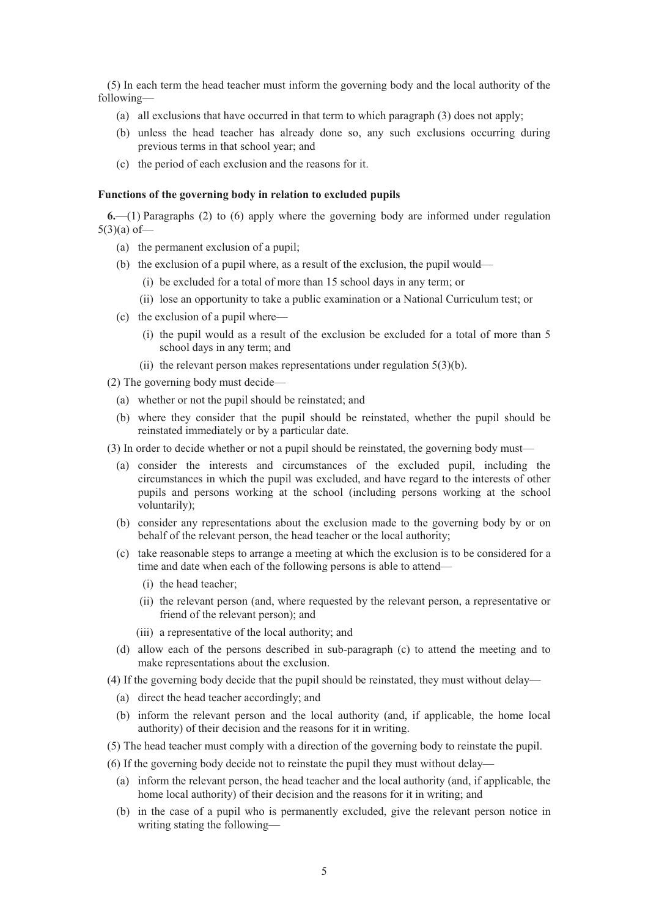(5) In each term the head teacher must inform the governing body and the local authority of the following—

- (a) all exclusions that have occurred in that term to which paragraph (3) does not apply;
- (b) unless the head teacher has already done so, any such exclusions occurring during previous terms in that school year; and
- (c) the period of each exclusion and the reasons for it.

#### **Functions of the governing body in relation to excluded pupils**

**6.**—(1) Paragraphs (2) to (6) apply where the governing body are informed under regulation  $5(3)(a)$  of —

- (a) the permanent exclusion of a pupil;
- (b) the exclusion of a pupil where, as a result of the exclusion, the pupil would—
	- (i) be excluded for a total of more than 15 school days in any term; or
	- (ii) lose an opportunity to take a public examination or a National Curriculum test; or
- (c) the exclusion of a pupil where—
	- (i) the pupil would as a result of the exclusion be excluded for a total of more than 5 school days in any term; and
	- (ii) the relevant person makes representations under regulation  $5(3)(b)$ .

(2) The governing body must decide—

- (a) whether or not the pupil should be reinstated; and
- (b) where they consider that the pupil should be reinstated, whether the pupil should be reinstated immediately or by a particular date.
- (3) In order to decide whether or not a pupil should be reinstated, the governing body must—
	- (a) consider the interests and circumstances of the excluded pupil, including the circumstances in which the pupil was excluded, and have regard to the interests of other pupils and persons working at the school (including persons working at the school voluntarily);
	- (b) consider any representations about the exclusion made to the governing body by or on behalf of the relevant person, the head teacher or the local authority;
	- (c) take reasonable steps to arrange a meeting at which the exclusion is to be considered for a time and date when each of the following persons is able to attend—
		- (i) the head teacher;
		- (ii) the relevant person (and, where requested by the relevant person, a representative or friend of the relevant person); and
		- (iii) a representative of the local authority; and
	- (d) allow each of the persons described in sub-paragraph (c) to attend the meeting and to make representations about the exclusion.
- (4) If the governing body decide that the pupil should be reinstated, they must without delay—
	- (a) direct the head teacher accordingly; and
	- (b) inform the relevant person and the local authority (and, if applicable, the home local authority) of their decision and the reasons for it in writing.
- (5) The head teacher must comply with a direction of the governing body to reinstate the pupil.
- (6) If the governing body decide not to reinstate the pupil they must without delay—
	- (a) inform the relevant person, the head teacher and the local authority (and, if applicable, the home local authority) of their decision and the reasons for it in writing; and
	- (b) in the case of a pupil who is permanently excluded, give the relevant person notice in writing stating the following—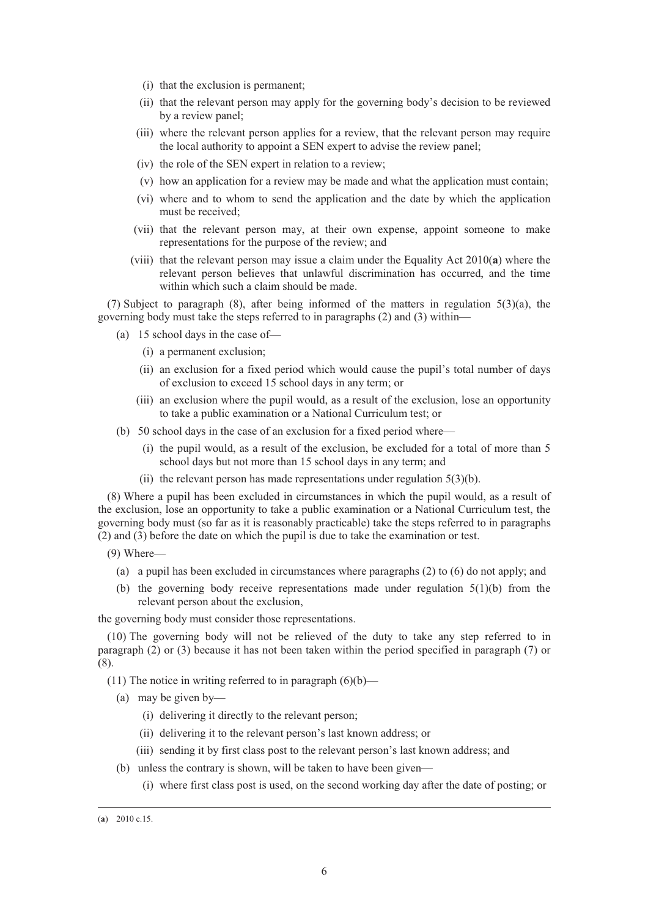- (i) that the exclusion is permanent;
- (ii) that the relevant person may apply for the governing body's decision to be reviewed by a review panel;
- (iii) where the relevant person applies for a review, that the relevant person may require the local authority to appoint a SEN expert to advise the review panel;
- (iv) the role of the SEN expert in relation to a review;
- (v) how an application for a review may be made and what the application must contain;
- (vi) where and to whom to send the application and the date by which the application must be received;
- (vii) that the relevant person may, at their own expense, appoint someone to make representations for the purpose of the review; and
- (viii) that the relevant person may issue a claim under the Equality Act 2010(**a**) where the relevant person believes that unlawful discrimination has occurred, and the time within which such a claim should be made.

(7) Subject to paragraph (8), after being informed of the matters in regulation 5(3)(a), the governing body must take the steps referred to in paragraphs (2) and (3) within—

- (a) 15 school days in the case of—
	- (i) a permanent exclusion;
	- (ii) an exclusion for a fixed period which would cause the pupil's total number of days of exclusion to exceed 15 school days in any term; or
	- (iii) an exclusion where the pupil would, as a result of the exclusion, lose an opportunity to take a public examination or a National Curriculum test; or
- (b) 50 school days in the case of an exclusion for a fixed period where—
	- (i) the pupil would, as a result of the exclusion, be excluded for a total of more than 5 school days but not more than 15 school days in any term; and
	- (ii) the relevant person has made representations under regulation  $5(3)(b)$ .

(8) Where a pupil has been excluded in circumstances in which the pupil would, as a result of the exclusion, lose an opportunity to take a public examination or a National Curriculum test, the governing body must (so far as it is reasonably practicable) take the steps referred to in paragraphs (2) and (3) before the date on which the pupil is due to take the examination or test.

- (9) Where—
	- (a) a pupil has been excluded in circumstances where paragraphs (2) to (6) do not apply; and
	- (b) the governing body receive representations made under regulation  $5(1)(b)$  from the relevant person about the exclusion,

the governing body must consider those representations.

(10) The governing body will not be relieved of the duty to take any step referred to in paragraph (2) or (3) because it has not been taken within the period specified in paragraph (7) or (8).

- (11) The notice in writing referred to in paragraph  $(6)(b)$ 
	- (a) may be given by—
		- (i) delivering it directly to the relevant person;
		- (ii) delivering it to the relevant person's last known address; or
		- (iii) sending it by first class post to the relevant person's last known address; and
	- (b) unless the contrary is shown, will be taken to have been given—
		- (i) where first class post is used, on the second working day after the date of posting; or

 <sup>(</sup>**a**) 2010 c.15.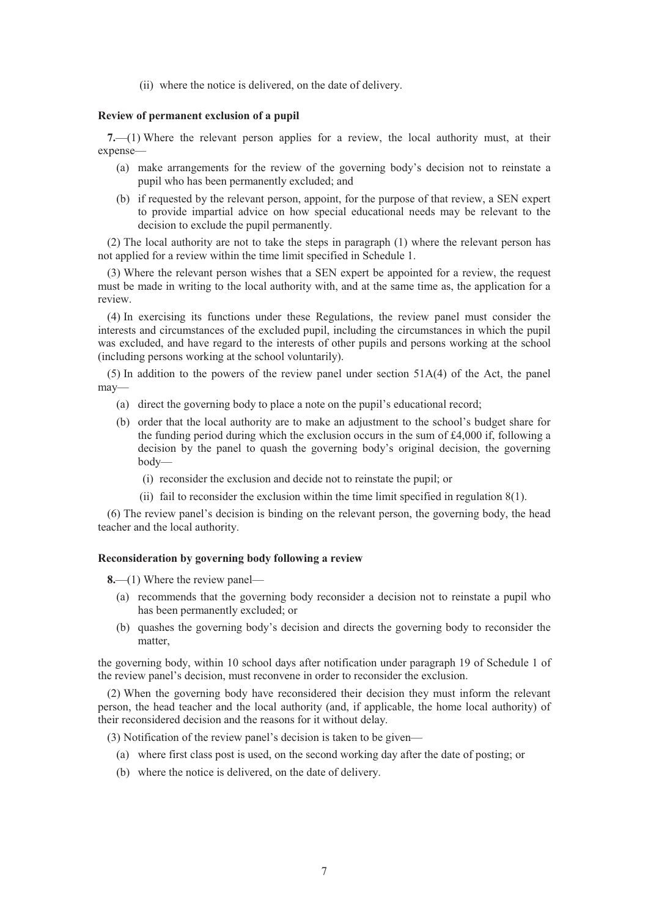(ii) where the notice is delivered, on the date of delivery.

#### **Review of permanent exclusion of a pupil**

**7.**—(1) Where the relevant person applies for a review, the local authority must, at their expense—

- (a) make arrangements for the review of the governing body's decision not to reinstate a pupil who has been permanently excluded; and
- (b) if requested by the relevant person, appoint, for the purpose of that review, a SEN expert to provide impartial advice on how special educational needs may be relevant to the decision to exclude the pupil permanently.

(2) The local authority are not to take the steps in paragraph (1) where the relevant person has not applied for a review within the time limit specified in Schedule 1.

(3) Where the relevant person wishes that a SEN expert be appointed for a review, the request must be made in writing to the local authority with, and at the same time as, the application for a review.

(4) In exercising its functions under these Regulations, the review panel must consider the interests and circumstances of the excluded pupil, including the circumstances in which the pupil was excluded, and have regard to the interests of other pupils and persons working at the school (including persons working at the school voluntarily).

(5) In addition to the powers of the review panel under section 51A(4) of the Act, the panel may—

- (a) direct the governing body to place a note on the pupil's educational record;
- (b) order that the local authority are to make an adjustment to the school's budget share for the funding period during which the exclusion occurs in the sum of  $\text{\pounds}4,000$  if, following a decision by the panel to quash the governing body's original decision, the governing body—
	- (i) reconsider the exclusion and decide not to reinstate the pupil; or
	- (ii) fail to reconsider the exclusion within the time limit specified in regulation  $8(1)$ .

(6) The review panel's decision is binding on the relevant person, the governing body, the head teacher and the local authority.

#### **Reconsideration by governing body following a review**

**8.**—(1) Where the review panel—

- (a) recommends that the governing body reconsider a decision not to reinstate a pupil who has been permanently excluded; or
- (b) quashes the governing body's decision and directs the governing body to reconsider the matter,

the governing body, within 10 school days after notification under paragraph 19 of Schedule 1 of the review panel's decision, must reconvene in order to reconsider the exclusion.

(2) When the governing body have reconsidered their decision they must inform the relevant person, the head teacher and the local authority (and, if applicable, the home local authority) of their reconsidered decision and the reasons for it without delay.

(3) Notification of the review panel's decision is taken to be given—

- (a) where first class post is used, on the second working day after the date of posting; or
- (b) where the notice is delivered, on the date of delivery.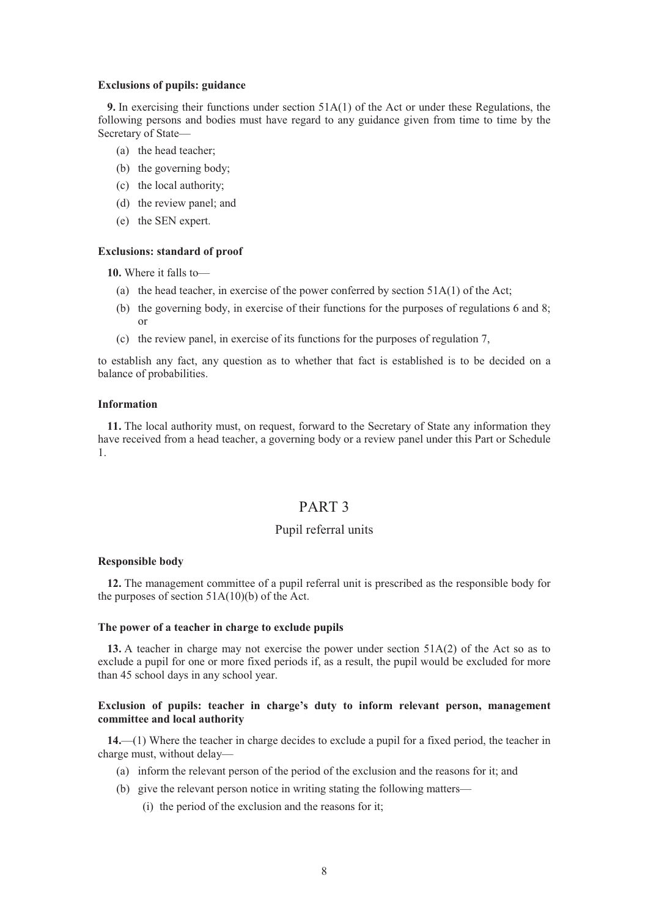#### **Exclusions of pupils: guidance**

**9.** In exercising their functions under section 51A(1) of the Act or under these Regulations, the following persons and bodies must have regard to any guidance given from time to time by the Secretary of State—

- (a) the head teacher;
- (b) the governing body;
- (c) the local authority;
- (d) the review panel; and
- (e) the SEN expert.

#### **Exclusions: standard of proof**

**10.** Where it falls to—

- (a) the head teacher, in exercise of the power conferred by section  $51A(1)$  of the Act;
- (b) the governing body, in exercise of their functions for the purposes of regulations 6 and 8; or
- (c) the review panel, in exercise of its functions for the purposes of regulation 7,

to establish any fact, any question as to whether that fact is established is to be decided on a balance of probabilities.

#### **Information**

**11.** The local authority must, on request, forward to the Secretary of State any information they have received from a head teacher, a governing body or a review panel under this Part or Schedule 1.

# PART 3

## Pupil referral units

#### **Responsible body**

**12.** The management committee of a pupil referral unit is prescribed as the responsible body for the purposes of section  $51A(10)(b)$  of the Act.

#### **The power of a teacher in charge to exclude pupils**

**13.** A teacher in charge may not exercise the power under section 51A(2) of the Act so as to exclude a pupil for one or more fixed periods if, as a result, the pupil would be excluded for more than 45 school days in any school year.

#### **Exclusion of pupils: teacher in charge's duty to inform relevant person, management committee and local authority**

**14.**—(1) Where the teacher in charge decides to exclude a pupil for a fixed period, the teacher in charge must, without delay—

- (a) inform the relevant person of the period of the exclusion and the reasons for it; and
- (b) give the relevant person notice in writing stating the following matters—
	- (i) the period of the exclusion and the reasons for it;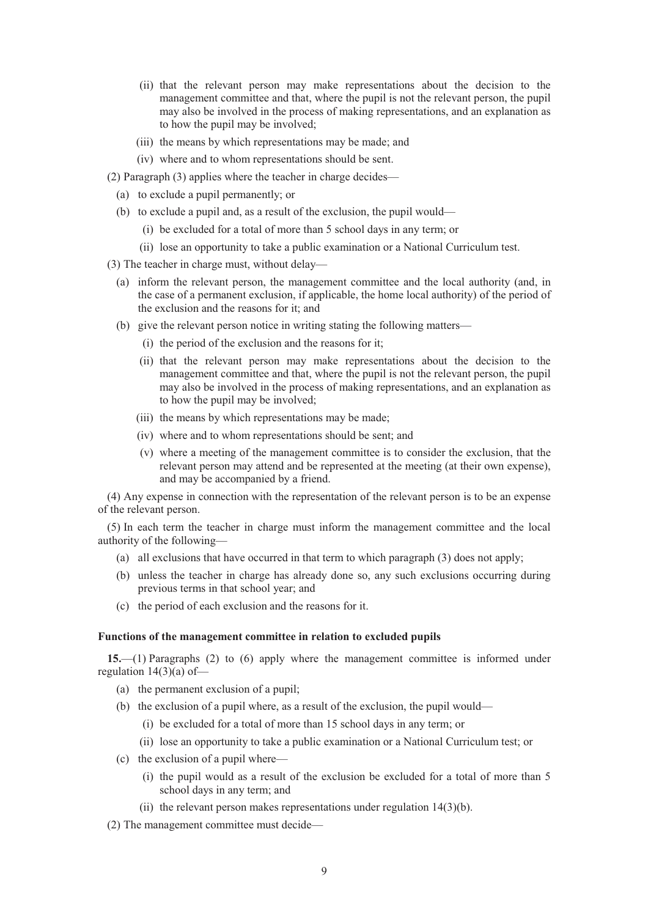- (ii) that the relevant person may make representations about the decision to the management committee and that, where the pupil is not the relevant person, the pupil may also be involved in the process of making representations, and an explanation as to how the pupil may be involved;
- (iii) the means by which representations may be made; and
- (iv) where and to whom representations should be sent.
- (2) Paragraph (3) applies where the teacher in charge decides—
	- (a) to exclude a pupil permanently; or
	- (b) to exclude a pupil and, as a result of the exclusion, the pupil would—
		- (i) be excluded for a total of more than 5 school days in any term; or
		- (ii) lose an opportunity to take a public examination or a National Curriculum test.
- (3) The teacher in charge must, without delay—
	- (a) inform the relevant person, the management committee and the local authority (and, in the case of a permanent exclusion, if applicable, the home local authority) of the period of the exclusion and the reasons for it; and
	- (b) give the relevant person notice in writing stating the following matters—
		- (i) the period of the exclusion and the reasons for it;
		- (ii) that the relevant person may make representations about the decision to the management committee and that, where the pupil is not the relevant person, the pupil may also be involved in the process of making representations, and an explanation as to how the pupil may be involved;
		- (iii) the means by which representations may be made;
		- (iv) where and to whom representations should be sent; and
		- (v) where a meeting of the management committee is to consider the exclusion, that the relevant person may attend and be represented at the meeting (at their own expense), and may be accompanied by a friend.

(4) Any expense in connection with the representation of the relevant person is to be an expense of the relevant person.

(5) In each term the teacher in charge must inform the management committee and the local authority of the following—

- (a) all exclusions that have occurred in that term to which paragraph (3) does not apply;
- (b) unless the teacher in charge has already done so, any such exclusions occurring during previous terms in that school year; and
- (c) the period of each exclusion and the reasons for it.

#### **Functions of the management committee in relation to excluded pupils**

**15.**—(1) Paragraphs (2) to (6) apply where the management committee is informed under regulation  $14(3)(a)$  of —

- (a) the permanent exclusion of a pupil;
- (b) the exclusion of a pupil where, as a result of the exclusion, the pupil would—
	- (i) be excluded for a total of more than 15 school days in any term; or
	- (ii) lose an opportunity to take a public examination or a National Curriculum test; or
- (c) the exclusion of a pupil where—
	- (i) the pupil would as a result of the exclusion be excluded for a total of more than 5 school days in any term; and
	- (ii) the relevant person makes representations under regulation 14(3)(b).
- (2) The management committee must decide—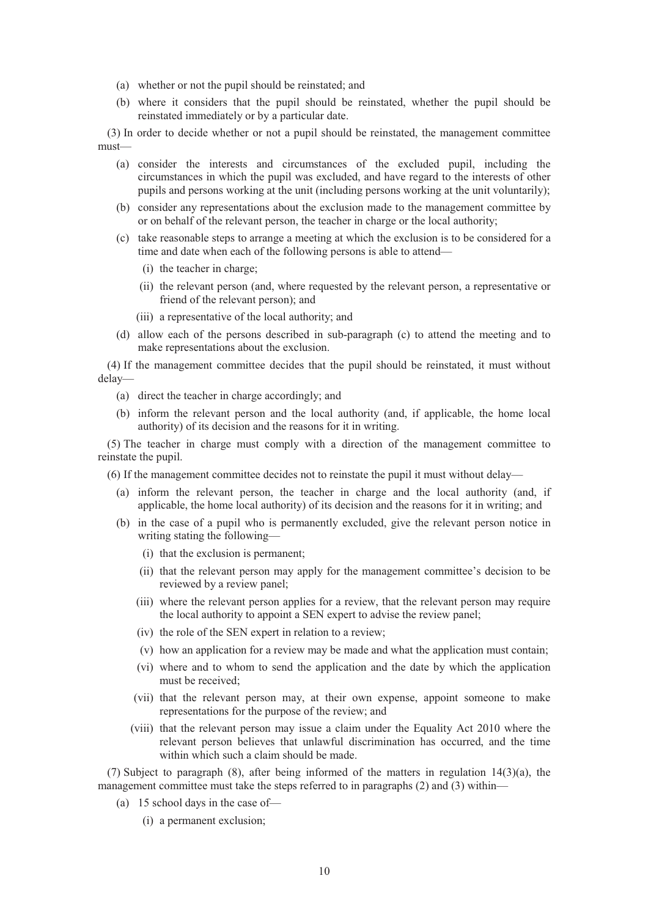- (a) whether or not the pupil should be reinstated; and
- (b) where it considers that the pupil should be reinstated, whether the pupil should be reinstated immediately or by a particular date.

(3) In order to decide whether or not a pupil should be reinstated, the management committee must—

- (a) consider the interests and circumstances of the excluded pupil, including the circumstances in which the pupil was excluded, and have regard to the interests of other pupils and persons working at the unit (including persons working at the unit voluntarily);
- (b) consider any representations about the exclusion made to the management committee by or on behalf of the relevant person, the teacher in charge or the local authority;
- (c) take reasonable steps to arrange a meeting at which the exclusion is to be considered for a time and date when each of the following persons is able to attend—
	- (i) the teacher in charge;
	- (ii) the relevant person (and, where requested by the relevant person, a representative or friend of the relevant person); and
	- (iii) a representative of the local authority; and
- (d) allow each of the persons described in sub-paragraph (c) to attend the meeting and to make representations about the exclusion.

(4) If the management committee decides that the pupil should be reinstated, it must without delay—

- (a) direct the teacher in charge accordingly; and
- (b) inform the relevant person and the local authority (and, if applicable, the home local authority) of its decision and the reasons for it in writing.

(5) The teacher in charge must comply with a direction of the management committee to reinstate the pupil.

(6) If the management committee decides not to reinstate the pupil it must without delay—

- (a) inform the relevant person, the teacher in charge and the local authority (and, if applicable, the home local authority) of its decision and the reasons for it in writing; and
- (b) in the case of a pupil who is permanently excluded, give the relevant person notice in writing stating the following—
	- (i) that the exclusion is permanent;
	- (ii) that the relevant person may apply for the management committee's decision to be reviewed by a review panel;
	- (iii) where the relevant person applies for a review, that the relevant person may require the local authority to appoint a SEN expert to advise the review panel;
	- (iv) the role of the SEN expert in relation to a review;
	- (v) how an application for a review may be made and what the application must contain;
	- (vi) where and to whom to send the application and the date by which the application must be received;
	- (vii) that the relevant person may, at their own expense, appoint someone to make representations for the purpose of the review; and
	- (viii) that the relevant person may issue a claim under the Equality Act 2010 where the relevant person believes that unlawful discrimination has occurred, and the time within which such a claim should be made.

(7) Subject to paragraph (8), after being informed of the matters in regulation 14(3)(a), the management committee must take the steps referred to in paragraphs (2) and (3) within—

- (a) 15 school days in the case of—
	- (i) a permanent exclusion;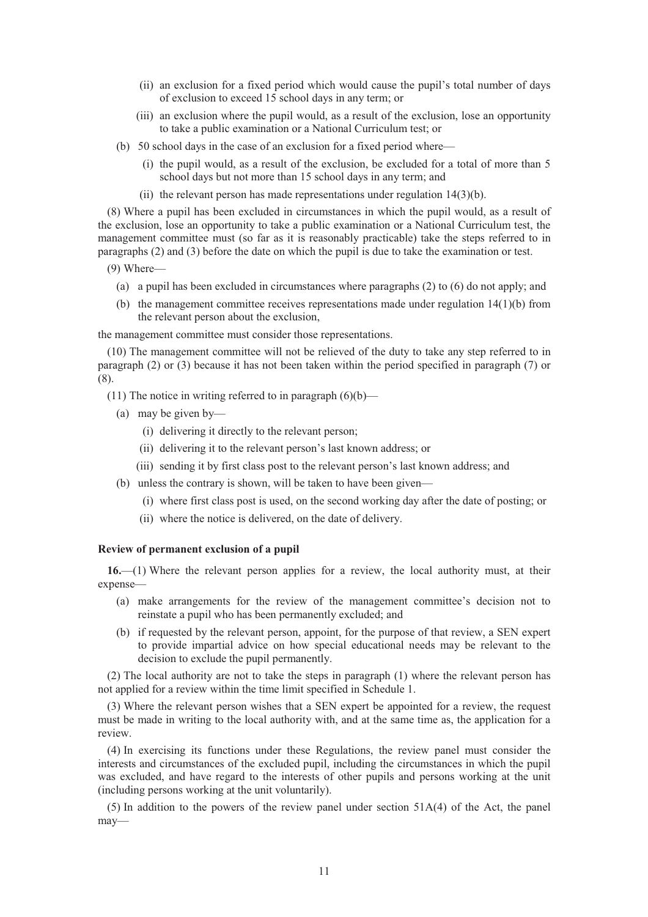- (ii) an exclusion for a fixed period which would cause the pupil's total number of days of exclusion to exceed 15 school days in any term; or
- (iii) an exclusion where the pupil would, as a result of the exclusion, lose an opportunity to take a public examination or a National Curriculum test; or
- (b) 50 school days in the case of an exclusion for a fixed period where—
	- (i) the pupil would, as a result of the exclusion, be excluded for a total of more than 5 school days but not more than 15 school days in any term; and
	- (ii) the relevant person has made representations under regulation  $14(3)(b)$ .

(8) Where a pupil has been excluded in circumstances in which the pupil would, as a result of the exclusion, lose an opportunity to take a public examination or a National Curriculum test, the management committee must (so far as it is reasonably practicable) take the steps referred to in paragraphs (2) and (3) before the date on which the pupil is due to take the examination or test.

(9) Where—

- (a) a pupil has been excluded in circumstances where paragraphs (2) to (6) do not apply; and
- (b) the management committee receives representations made under regulation 14(1)(b) from the relevant person about the exclusion,

the management committee must consider those representations.

(10) The management committee will not be relieved of the duty to take any step referred to in paragraph (2) or (3) because it has not been taken within the period specified in paragraph (7) or (8).

- (11) The notice in writing referred to in paragraph  $(6)(b)$ 
	- (a) may be given by—
		- (i) delivering it directly to the relevant person;
		- (ii) delivering it to the relevant person's last known address; or
		- (iii) sending it by first class post to the relevant person's last known address; and
	- (b) unless the contrary is shown, will be taken to have been given—
		- (i) where first class post is used, on the second working day after the date of posting; or
		- (ii) where the notice is delivered, on the date of delivery.

#### **Review of permanent exclusion of a pupil**

**16.**—(1) Where the relevant person applies for a review, the local authority must, at their expense—

- (a) make arrangements for the review of the management committee's decision not to reinstate a pupil who has been permanently excluded; and
- (b) if requested by the relevant person, appoint, for the purpose of that review, a SEN expert to provide impartial advice on how special educational needs may be relevant to the decision to exclude the pupil permanently.

(2) The local authority are not to take the steps in paragraph (1) where the relevant person has not applied for a review within the time limit specified in Schedule 1.

(3) Where the relevant person wishes that a SEN expert be appointed for a review, the request must be made in writing to the local authority with, and at the same time as, the application for a review.

(4) In exercising its functions under these Regulations, the review panel must consider the interests and circumstances of the excluded pupil, including the circumstances in which the pupil was excluded, and have regard to the interests of other pupils and persons working at the unit (including persons working at the unit voluntarily).

 $(5)$  In addition to the powers of the review panel under section  $51A(4)$  of the Act, the panel may—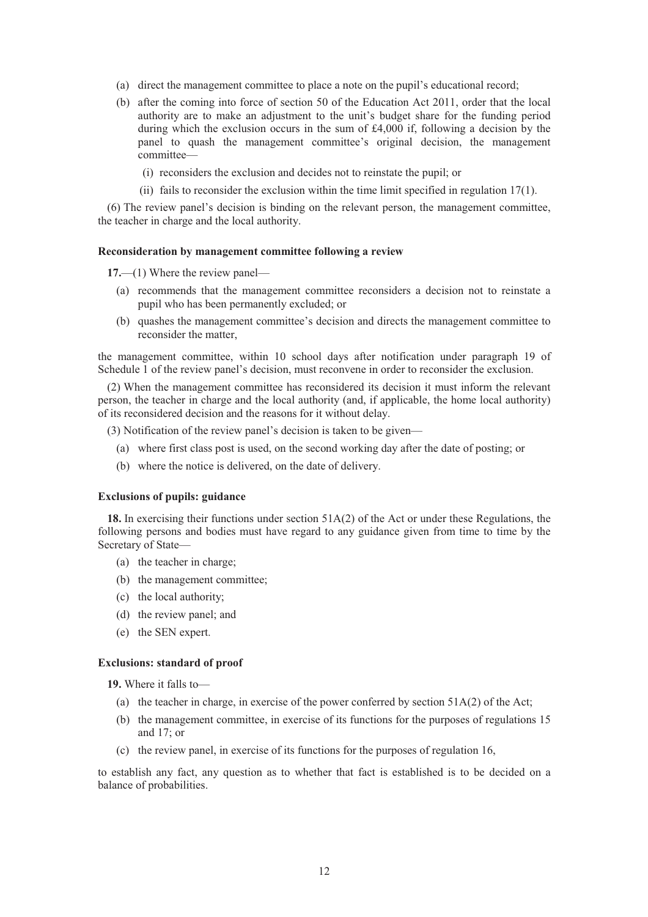- (a) direct the management committee to place a note on the pupil's educational record;
- (b) after the coming into force of section 50 of the Education Act 2011, order that the local authority are to make an adjustment to the unit's budget share for the funding period during which the exclusion occurs in the sum of  $\text{\pounds}4,000$  if, following a decision by the panel to quash the management committee's original decision, the management committee—
	- (i) reconsiders the exclusion and decides not to reinstate the pupil; or
	- (ii) fails to reconsider the exclusion within the time limit specified in regulation 17(1).

(6) The review panel's decision is binding on the relevant person, the management committee, the teacher in charge and the local authority.

#### **Reconsideration by management committee following a review**

**17.**—(1) Where the review panel—

- (a) recommends that the management committee reconsiders a decision not to reinstate a pupil who has been permanently excluded; or
- (b) quashes the management committee's decision and directs the management committee to reconsider the matter,

the management committee, within 10 school days after notification under paragraph 19 of Schedule 1 of the review panel's decision, must reconvene in order to reconsider the exclusion.

(2) When the management committee has reconsidered its decision it must inform the relevant person, the teacher in charge and the local authority (and, if applicable, the home local authority) of its reconsidered decision and the reasons for it without delay.

(3) Notification of the review panel's decision is taken to be given—

- (a) where first class post is used, on the second working day after the date of posting; or
- (b) where the notice is delivered, on the date of delivery.

#### **Exclusions of pupils: guidance**

**18.** In exercising their functions under section 51A(2) of the Act or under these Regulations, the following persons and bodies must have regard to any guidance given from time to time by the Secretary of State—

- (a) the teacher in charge;
- (b) the management committee;
- (c) the local authority;
- (d) the review panel; and
- (e) the SEN expert.

#### **Exclusions: standard of proof**

**19.** Where it falls to—

- (a) the teacher in charge, in exercise of the power conferred by section  $51A(2)$  of the Act;
- (b) the management committee, in exercise of its functions for the purposes of regulations 15 and 17; or
- (c) the review panel, in exercise of its functions for the purposes of regulation 16,

to establish any fact, any question as to whether that fact is established is to be decided on a balance of probabilities.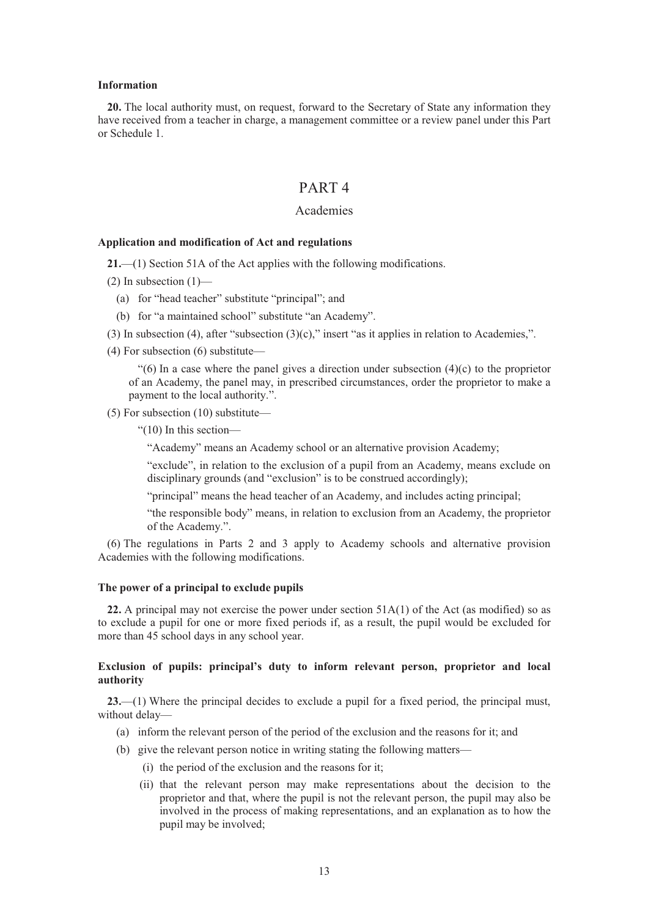#### **Information**

**20.** The local authority must, on request, forward to the Secretary of State any information they have received from a teacher in charge, a management committee or a review panel under this Part or Schedule 1.

# PART 4

#### Academies

#### **Application and modification of Act and regulations**

**21.**—(1) Section 51A of the Act applies with the following modifications.

- $(2)$  In subsection  $(1)$ 
	- (a) for "head teacher" substitute "principal"; and
	- (b) for "a maintained school" substitute "an Academy".
- (3) In subsection (4), after "subsection (3)(c)," insert "as it applies in relation to Academies,".
- (4) For subsection (6) substitute—

 $(6)$  In a case where the panel gives a direction under subsection  $(4)(c)$  to the proprietor of an Academy, the panel may, in prescribed circumstances, order the proprietor to make a payment to the local authority.".

(5) For subsection (10) substitute—

"(10) In this section—

"Academy" means an Academy school or an alternative provision Academy;

"exclude", in relation to the exclusion of a pupil from an Academy, means exclude on disciplinary grounds (and "exclusion" is to be construed accordingly);

"principal" means the head teacher of an Academy, and includes acting principal;

"the responsible body" means, in relation to exclusion from an Academy, the proprietor of the Academy.".

(6) The regulations in Parts 2 and 3 apply to Academy schools and alternative provision Academies with the following modifications.

#### **The power of a principal to exclude pupils**

**22.** A principal may not exercise the power under section 51A(1) of the Act (as modified) so as to exclude a pupil for one or more fixed periods if, as a result, the pupil would be excluded for more than 45 school days in any school year.

#### **Exclusion of pupils: principal's duty to inform relevant person, proprietor and local authority**

**23.**—(1) Where the principal decides to exclude a pupil for a fixed period, the principal must, without delay—

- (a) inform the relevant person of the period of the exclusion and the reasons for it; and
- (b) give the relevant person notice in writing stating the following matters—
	- (i) the period of the exclusion and the reasons for it;
	- (ii) that the relevant person may make representations about the decision to the proprietor and that, where the pupil is not the relevant person, the pupil may also be involved in the process of making representations, and an explanation as to how the pupil may be involved;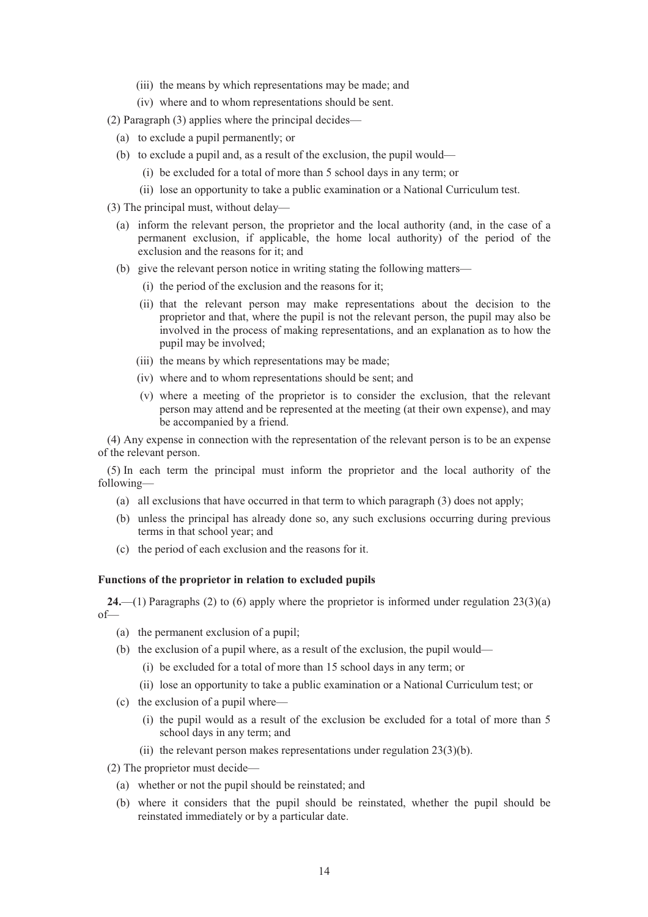- (iii) the means by which representations may be made; and
- (iv) where and to whom representations should be sent.
- (2) Paragraph (3) applies where the principal decides—
	- (a) to exclude a pupil permanently; or
	- (b) to exclude a pupil and, as a result of the exclusion, the pupil would—
		- (i) be excluded for a total of more than 5 school days in any term; or
		- (ii) lose an opportunity to take a public examination or a National Curriculum test.
- (3) The principal must, without delay—
	- (a) inform the relevant person, the proprietor and the local authority (and, in the case of a permanent exclusion, if applicable, the home local authority) of the period of the exclusion and the reasons for it; and
	- (b) give the relevant person notice in writing stating the following matters—
		- (i) the period of the exclusion and the reasons for it;
		- (ii) that the relevant person may make representations about the decision to the proprietor and that, where the pupil is not the relevant person, the pupil may also be involved in the process of making representations, and an explanation as to how the pupil may be involved;
		- (iii) the means by which representations may be made;
		- (iv) where and to whom representations should be sent; and
		- (v) where a meeting of the proprietor is to consider the exclusion, that the relevant person may attend and be represented at the meeting (at their own expense), and may be accompanied by a friend.

(4) Any expense in connection with the representation of the relevant person is to be an expense of the relevant person.

(5) In each term the principal must inform the proprietor and the local authority of the following—

- (a) all exclusions that have occurred in that term to which paragraph (3) does not apply;
- (b) unless the principal has already done so, any such exclusions occurring during previous terms in that school year; and
- (c) the period of each exclusion and the reasons for it.

#### **Functions of the proprietor in relation to excluded pupils**

**24.**—(1) Paragraphs (2) to (6) apply where the proprietor is informed under regulation 23(3)(a) of—

- (a) the permanent exclusion of a pupil;
- (b) the exclusion of a pupil where, as a result of the exclusion, the pupil would—
	- (i) be excluded for a total of more than 15 school days in any term; or
- (ii) lose an opportunity to take a public examination or a National Curriculum test; or
- (c) the exclusion of a pupil where—
	- (i) the pupil would as a result of the exclusion be excluded for a total of more than 5 school days in any term; and
	- (ii) the relevant person makes representations under regulation  $23(3)(b)$ .

(2) The proprietor must decide—

- (a) whether or not the pupil should be reinstated; and
- (b) where it considers that the pupil should be reinstated, whether the pupil should be reinstated immediately or by a particular date.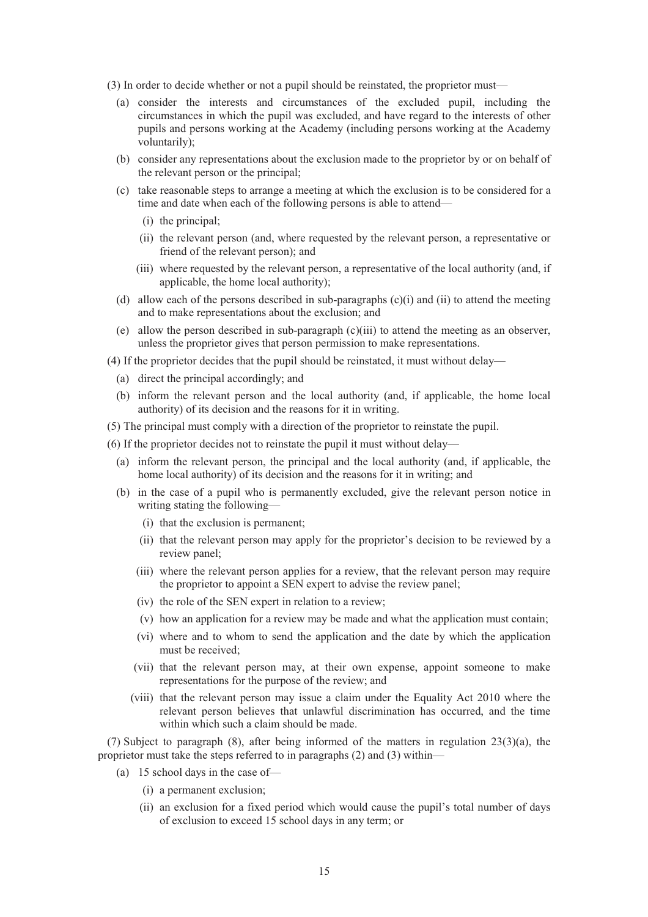- (3) In order to decide whether or not a pupil should be reinstated, the proprietor must—
	- (a) consider the interests and circumstances of the excluded pupil, including the circumstances in which the pupil was excluded, and have regard to the interests of other pupils and persons working at the Academy (including persons working at the Academy voluntarily);
	- (b) consider any representations about the exclusion made to the proprietor by or on behalf of the relevant person or the principal;
	- (c) take reasonable steps to arrange a meeting at which the exclusion is to be considered for a time and date when each of the following persons is able to attend—
		- (i) the principal;
		- (ii) the relevant person (and, where requested by the relevant person, a representative or friend of the relevant person); and
		- (iii) where requested by the relevant person, a representative of the local authority (and, if applicable, the home local authority);
	- (d) allow each of the persons described in sub-paragraphs (c)(i) and (ii) to attend the meeting and to make representations about the exclusion; and
	- (e) allow the person described in sub-paragraph  $(c)(iii)$  to attend the meeting as an observer, unless the proprietor gives that person permission to make representations.
- (4) If the proprietor decides that the pupil should be reinstated, it must without delay—
	- (a) direct the principal accordingly; and
	- (b) inform the relevant person and the local authority (and, if applicable, the home local authority) of its decision and the reasons for it in writing.
- (5) The principal must comply with a direction of the proprietor to reinstate the pupil.
- (6) If the proprietor decides not to reinstate the pupil it must without delay—
	- (a) inform the relevant person, the principal and the local authority (and, if applicable, the home local authority) of its decision and the reasons for it in writing; and
	- (b) in the case of a pupil who is permanently excluded, give the relevant person notice in writing stating the following—
		- (i) that the exclusion is permanent;
		- (ii) that the relevant person may apply for the proprietor's decision to be reviewed by a review panel;
		- (iii) where the relevant person applies for a review, that the relevant person may require the proprietor to appoint a SEN expert to advise the review panel;
		- (iv) the role of the SEN expert in relation to a review;
		- (v) how an application for a review may be made and what the application must contain;
		- (vi) where and to whom to send the application and the date by which the application must be received;
		- (vii) that the relevant person may, at their own expense, appoint someone to make representations for the purpose of the review; and
		- (viii) that the relevant person may issue a claim under the Equality Act 2010 where the relevant person believes that unlawful discrimination has occurred, and the time within which such a claim should be made.

(7) Subject to paragraph (8), after being informed of the matters in regulation 23(3)(a), the proprietor must take the steps referred to in paragraphs (2) and (3) within—

- (a) 15 school days in the case of—
	- (i) a permanent exclusion;
	- (ii) an exclusion for a fixed period which would cause the pupil's total number of days of exclusion to exceed 15 school days in any term; or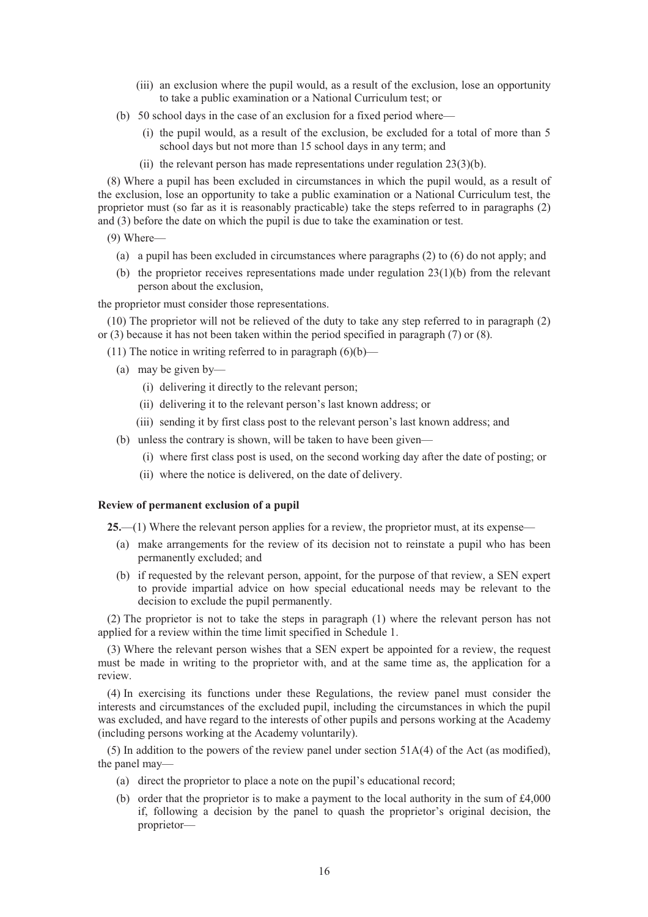- (iii) an exclusion where the pupil would, as a result of the exclusion, lose an opportunity to take a public examination or a National Curriculum test; or
- (b) 50 school days in the case of an exclusion for a fixed period where—
	- (i) the pupil would, as a result of the exclusion, be excluded for a total of more than 5 school days but not more than 15 school days in any term; and
	- (ii) the relevant person has made representations under regulation 23(3)(b).

(8) Where a pupil has been excluded in circumstances in which the pupil would, as a result of the exclusion, lose an opportunity to take a public examination or a National Curriculum test, the proprietor must (so far as it is reasonably practicable) take the steps referred to in paragraphs (2) and (3) before the date on which the pupil is due to take the examination or test.

(9) Where—

- (a) a pupil has been excluded in circumstances where paragraphs (2) to (6) do not apply; and
- (b) the proprietor receives representations made under regulation  $23(1)(b)$  from the relevant person about the exclusion,

the proprietor must consider those representations.

(10) The proprietor will not be relieved of the duty to take any step referred to in paragraph (2) or (3) because it has not been taken within the period specified in paragraph (7) or (8).

(11) The notice in writing referred to in paragraph  $(6)(b)$ —

- (a) may be given by—
	- (i) delivering it directly to the relevant person;
	- (ii) delivering it to the relevant person's last known address; or
	- (iii) sending it by first class post to the relevant person's last known address; and
- (b) unless the contrary is shown, will be taken to have been given—
	- (i) where first class post is used, on the second working day after the date of posting; or
	- (ii) where the notice is delivered, on the date of delivery.

#### **Review of permanent exclusion of a pupil**

**25.**—(1) Where the relevant person applies for a review, the proprietor must, at its expense—

- (a) make arrangements for the review of its decision not to reinstate a pupil who has been permanently excluded; and
- (b) if requested by the relevant person, appoint, for the purpose of that review, a SEN expert to provide impartial advice on how special educational needs may be relevant to the decision to exclude the pupil permanently.

(2) The proprietor is not to take the steps in paragraph (1) where the relevant person has not applied for a review within the time limit specified in Schedule 1.

(3) Where the relevant person wishes that a SEN expert be appointed for a review, the request must be made in writing to the proprietor with, and at the same time as, the application for a review.

(4) In exercising its functions under these Regulations, the review panel must consider the interests and circumstances of the excluded pupil, including the circumstances in which the pupil was excluded, and have regard to the interests of other pupils and persons working at the Academy (including persons working at the Academy voluntarily).

(5) In addition to the powers of the review panel under section 51A(4) of the Act (as modified), the panel may—

- (a) direct the proprietor to place a note on the pupil's educational record;
- (b) order that the proprietor is to make a payment to the local authority in the sum of  $\text{\pounds}4,000$ if, following a decision by the panel to quash the proprietor's original decision, the proprietor—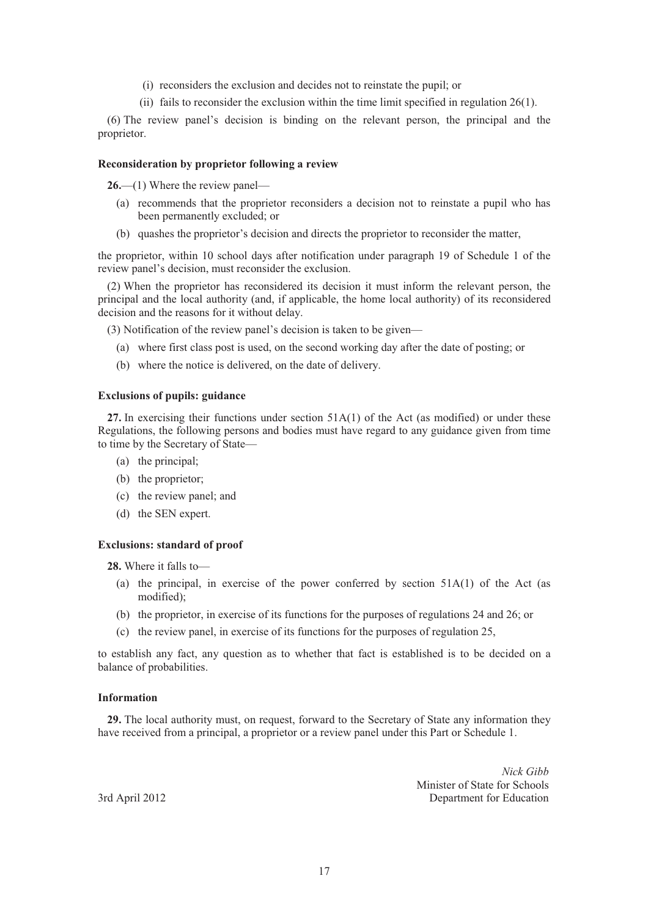- (i) reconsiders the exclusion and decides not to reinstate the pupil; or
- (ii) fails to reconsider the exclusion within the time limit specified in regulation 26(1).

(6) The review panel's decision is binding on the relevant person, the principal and the proprietor.

#### **Reconsideration by proprietor following a review**

**26.**—(1) Where the review panel—

- (a) recommends that the proprietor reconsiders a decision not to reinstate a pupil who has been permanently excluded; or
- (b) quashes the proprietor's decision and directs the proprietor to reconsider the matter,

the proprietor, within 10 school days after notification under paragraph 19 of Schedule 1 of the review panel's decision, must reconsider the exclusion.

(2) When the proprietor has reconsidered its decision it must inform the relevant person, the principal and the local authority (and, if applicable, the home local authority) of its reconsidered decision and the reasons for it without delay.

(3) Notification of the review panel's decision is taken to be given—

- (a) where first class post is used, on the second working day after the date of posting; or
- (b) where the notice is delivered, on the date of delivery.

#### **Exclusions of pupils: guidance**

**27.** In exercising their functions under section 51A(1) of the Act (as modified) or under these Regulations, the following persons and bodies must have regard to any guidance given from time to time by the Secretary of State—

- (a) the principal;
- (b) the proprietor;
- (c) the review panel; and
- (d) the SEN expert.

#### **Exclusions: standard of proof**

**28.** Where it falls to—

- (a) the principal, in exercise of the power conferred by section 51A(1) of the Act (as modified);
- (b) the proprietor, in exercise of its functions for the purposes of regulations 24 and 26; or
- (c) the review panel, in exercise of its functions for the purposes of regulation 25,

to establish any fact, any question as to whether that fact is established is to be decided on a balance of probabilities.

#### **Information**

**29.** The local authority must, on request, forward to the Secretary of State any information they have received from a principal, a proprietor or a review panel under this Part or Schedule 1.

*Nick Gibb* Minister of State for Schools 3rd April 2012 Department for Education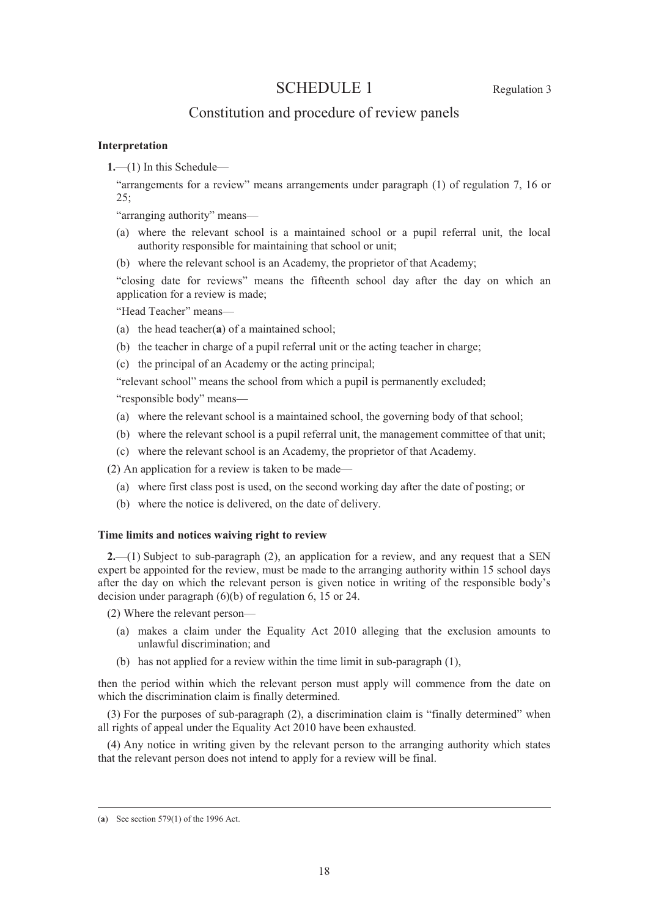# SCHEDULE 1 Regulation 3

# Constitution and procedure of review panels

#### **Interpretation**

**1.**—(1) In this Schedule—

"arrangements for a review" means arrangements under paragraph (1) of regulation 7, 16 or  $25:$ 

"arranging authority" means—

- (a) where the relevant school is a maintained school or a pupil referral unit, the local authority responsible for maintaining that school or unit;
- (b) where the relevant school is an Academy, the proprietor of that Academy;

"closing date for reviews" means the fifteenth school day after the day on which an application for a review is made;

"Head Teacher" means—

- (a) the head teacher(**a**) of a maintained school;
- (b) the teacher in charge of a pupil referral unit or the acting teacher in charge;
- (c) the principal of an Academy or the acting principal;

"relevant school" means the school from which a pupil is permanently excluded;

"responsible body" means—

- (a) where the relevant school is a maintained school, the governing body of that school;
- (b) where the relevant school is a pupil referral unit, the management committee of that unit;
- (c) where the relevant school is an Academy, the proprietor of that Academy.

(2) An application for a review is taken to be made—

- (a) where first class post is used, on the second working day after the date of posting; or
- (b) where the notice is delivered, on the date of delivery.

#### **Time limits and notices waiving right to review**

**2.**—(1) Subject to sub-paragraph (2), an application for a review, and any request that a SEN expert be appointed for the review, must be made to the arranging authority within 15 school days after the day on which the relevant person is given notice in writing of the responsible body's decision under paragraph (6)(b) of regulation 6, 15 or 24.

(2) Where the relevant person—

- (a) makes a claim under the Equality Act 2010 alleging that the exclusion amounts to unlawful discrimination; and
- (b) has not applied for a review within the time limit in sub-paragraph (1),

then the period within which the relevant person must apply will commence from the date on which the discrimination claim is finally determined.

(3) For the purposes of sub-paragraph (2), a discrimination claim is "finally determined" when all rights of appeal under the Equality Act 2010 have been exhausted.

(4) Any notice in writing given by the relevant person to the arranging authority which states that the relevant person does not intend to apply for a review will be final.

 <sup>(</sup>**a**) See section 579(1) of the 1996 Act.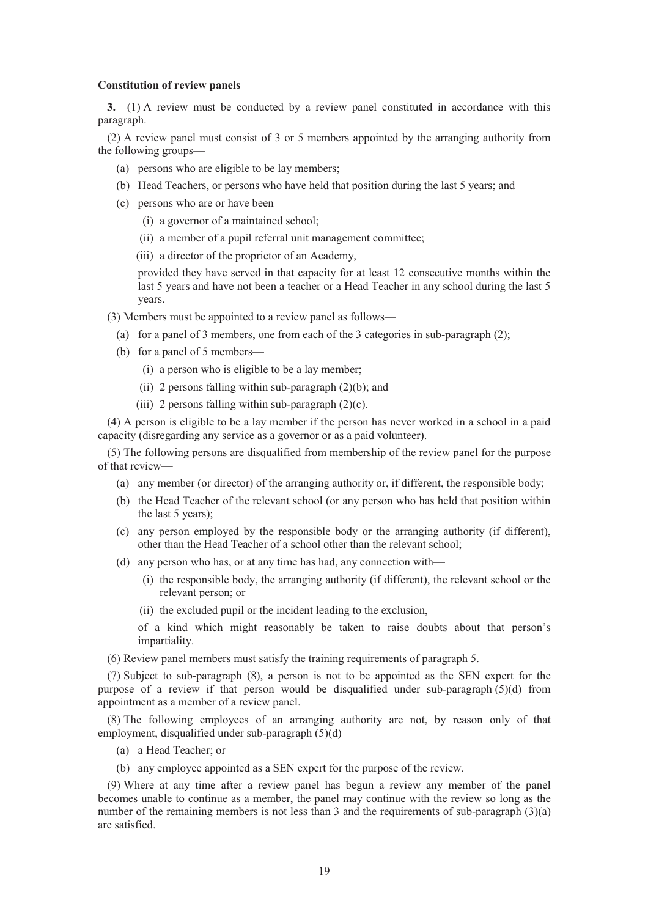#### **Constitution of review panels**

**3.**—(1) A review must be conducted by a review panel constituted in accordance with this paragraph.

(2) A review panel must consist of 3 or 5 members appointed by the arranging authority from the following groups—

- (a) persons who are eligible to be lay members;
- (b) Head Teachers, or persons who have held that position during the last 5 years; and
- (c) persons who are or have been—
	- (i) a governor of a maintained school;
	- (ii) a member of a pupil referral unit management committee;
	- (iii) a director of the proprietor of an Academy,

provided they have served in that capacity for at least 12 consecutive months within the last 5 years and have not been a teacher or a Head Teacher in any school during the last 5 years.

- (3) Members must be appointed to a review panel as follows—
	- (a) for a panel of 3 members, one from each of the 3 categories in sub-paragraph (2);
	- (b) for a panel of 5 members—
		- (i) a person who is eligible to be a lay member;
		- (ii) 2 persons falling within sub-paragraph  $(2)(b)$ ; and
		- (iii) 2 persons falling within sub-paragraph  $(2)(c)$ .

(4) A person is eligible to be a lay member if the person has never worked in a school in a paid capacity (disregarding any service as a governor or as a paid volunteer).

(5) The following persons are disqualified from membership of the review panel for the purpose of that review—

- (a) any member (or director) of the arranging authority or, if different, the responsible body;
- (b) the Head Teacher of the relevant school (or any person who has held that position within the last 5 years);
- (c) any person employed by the responsible body or the arranging authority (if different), other than the Head Teacher of a school other than the relevant school;
- (d) any person who has, or at any time has had, any connection with—
	- (i) the responsible body, the arranging authority (if different), the relevant school or the relevant person; or
	- (ii) the excluded pupil or the incident leading to the exclusion,

of a kind which might reasonably be taken to raise doubts about that person's impartiality.

(6) Review panel members must satisfy the training requirements of paragraph 5.

(7) Subject to sub-paragraph (8), a person is not to be appointed as the SEN expert for the purpose of a review if that person would be disqualified under sub-paragraph (5)(d) from appointment as a member of a review panel.

(8) The following employees of an arranging authority are not, by reason only of that employment, disqualified under sub-paragraph (5)(d)—

- (a) a Head Teacher; or
- (b) any employee appointed as a SEN expert for the purpose of the review.

(9) Where at any time after a review panel has begun a review any member of the panel becomes unable to continue as a member, the panel may continue with the review so long as the number of the remaining members is not less than 3 and the requirements of sub-paragraph (3)(a) are satisfied.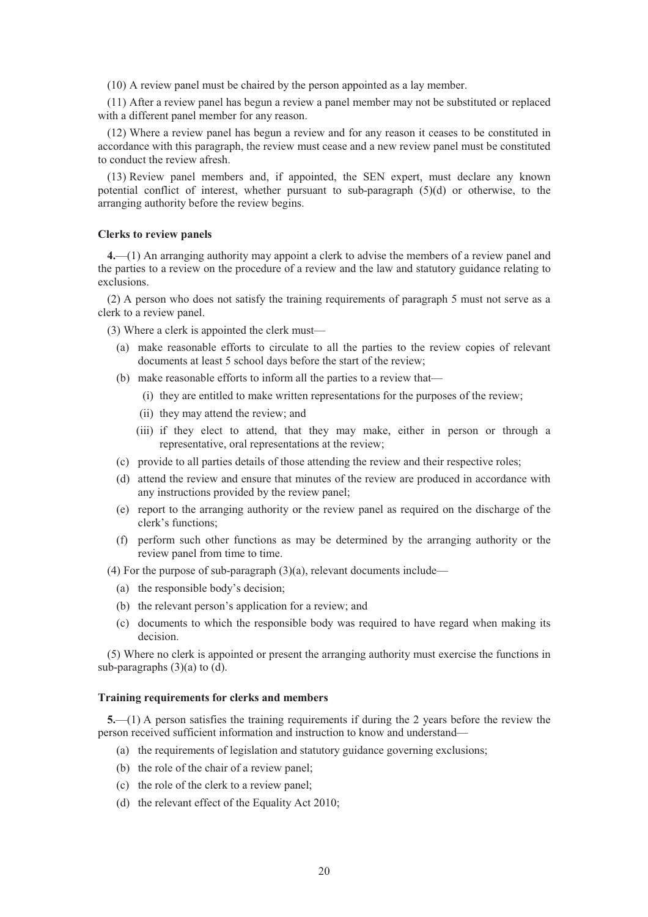(10) A review panel must be chaired by the person appointed as a lay member.

(11) After a review panel has begun a review a panel member may not be substituted or replaced with a different panel member for any reason.

(12) Where a review panel has begun a review and for any reason it ceases to be constituted in accordance with this paragraph, the review must cease and a new review panel must be constituted to conduct the review afresh.

(13) Review panel members and, if appointed, the SEN expert, must declare any known potential conflict of interest, whether pursuant to sub-paragraph (5)(d) or otherwise, to the arranging authority before the review begins.

#### **Clerks to review panels**

**4.**—(1) An arranging authority may appoint a clerk to advise the members of a review panel and the parties to a review on the procedure of a review and the law and statutory guidance relating to exclusions.

(2) A person who does not satisfy the training requirements of paragraph 5 must not serve as a clerk to a review panel.

(3) Where a clerk is appointed the clerk must—

- (a) make reasonable efforts to circulate to all the parties to the review copies of relevant documents at least 5 school days before the start of the review;
- (b) make reasonable efforts to inform all the parties to a review that—
	- (i) they are entitled to make written representations for the purposes of the review;
	- (ii) they may attend the review; and
	- (iii) if they elect to attend, that they may make, either in person or through a representative, oral representations at the review;
- (c) provide to all parties details of those attending the review and their respective roles;
- (d) attend the review and ensure that minutes of the review are produced in accordance with any instructions provided by the review panel;
- (e) report to the arranging authority or the review panel as required on the discharge of the clerk's functions;
- (f) perform such other functions as may be determined by the arranging authority or the review panel from time to time.
- (4) For the purpose of sub-paragraph (3)(a), relevant documents include—
	- (a) the responsible body's decision;
	- (b) the relevant person's application for a review; and
	- (c) documents to which the responsible body was required to have regard when making its decision.

(5) Where no clerk is appointed or present the arranging authority must exercise the functions in sub-paragraphs (3)(a) to (d).

#### **Training requirements for clerks and members**

**5.**—(1) A person satisfies the training requirements if during the 2 years before the review the person received sufficient information and instruction to know and understand—

- (a) the requirements of legislation and statutory guidance governing exclusions;
- (b) the role of the chair of a review panel;
- (c) the role of the clerk to a review panel;
- (d) the relevant effect of the Equality Act 2010;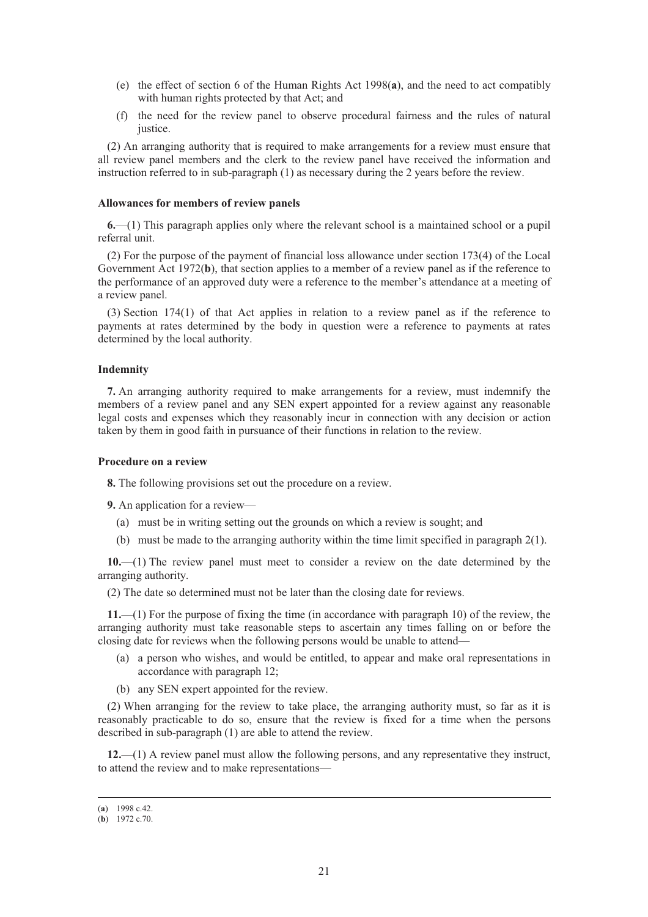- (e) the effect of section 6 of the Human Rights Act 1998(**a**), and the need to act compatibly with human rights protected by that Act; and
- (f) the need for the review panel to observe procedural fairness and the rules of natural justice.

(2) An arranging authority that is required to make arrangements for a review must ensure that all review panel members and the clerk to the review panel have received the information and instruction referred to in sub-paragraph (1) as necessary during the 2 years before the review.

#### **Allowances for members of review panels**

**6.**—(1) This paragraph applies only where the relevant school is a maintained school or a pupil referral unit.

(2) For the purpose of the payment of financial loss allowance under section 173(4) of the Local Government Act 1972(**b**), that section applies to a member of a review panel as if the reference to the performance of an approved duty were a reference to the member's attendance at a meeting of a review panel.

(3) Section 174(1) of that Act applies in relation to a review panel as if the reference to payments at rates determined by the body in question were a reference to payments at rates determined by the local authority.

#### **Indemnity**

**7.** An arranging authority required to make arrangements for a review, must indemnify the members of a review panel and any SEN expert appointed for a review against any reasonable legal costs and expenses which they reasonably incur in connection with any decision or action taken by them in good faith in pursuance of their functions in relation to the review.

#### **Procedure on a review**

**8.** The following provisions set out the procedure on a review.

**9.** An application for a review—

- (a) must be in writing setting out the grounds on which a review is sought; and
- (b) must be made to the arranging authority within the time limit specified in paragraph 2(1).

**10.**—(1) The review panel must meet to consider a review on the date determined by the arranging authority.

(2) The date so determined must not be later than the closing date for reviews.

**11.**—(1) For the purpose of fixing the time (in accordance with paragraph 10) of the review, the arranging authority must take reasonable steps to ascertain any times falling on or before the closing date for reviews when the following persons would be unable to attend—

- (a) a person who wishes, and would be entitled, to appear and make oral representations in accordance with paragraph 12;
- (b) any SEN expert appointed for the review.

(2) When arranging for the review to take place, the arranging authority must, so far as it is reasonably practicable to do so, ensure that the review is fixed for a time when the persons described in sub-paragraph (1) are able to attend the review.

**12.**—(1) A review panel must allow the following persons, and any representative they instruct, to attend the review and to make representations—

 <sup>(</sup>**a**) 1998 c.42.

<sup>(</sup>**b**) 1972 c.70.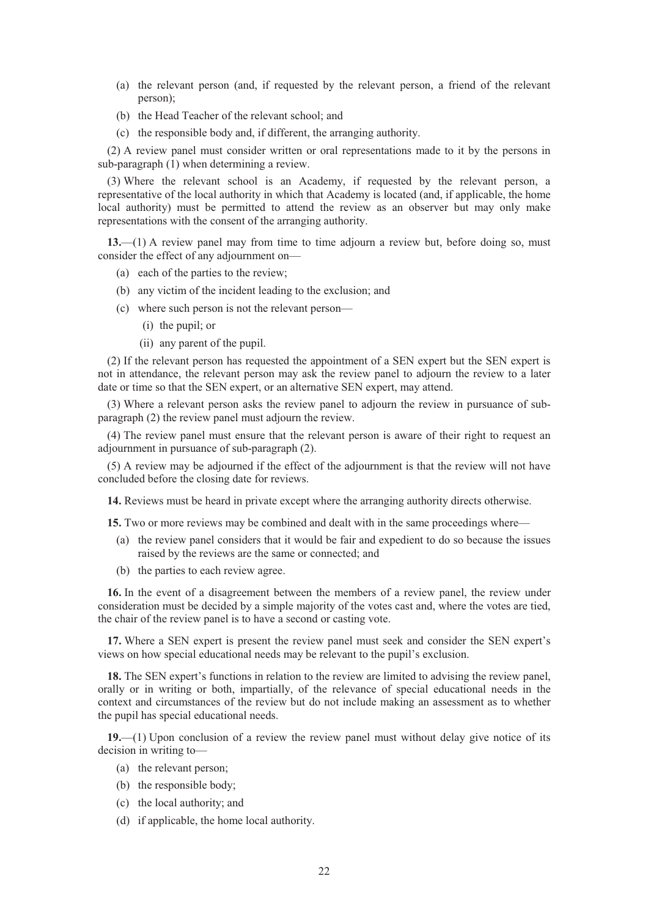- (a) the relevant person (and, if requested by the relevant person, a friend of the relevant person);
- (b) the Head Teacher of the relevant school; and
- (c) the responsible body and, if different, the arranging authority.

(2) A review panel must consider written or oral representations made to it by the persons in sub-paragraph (1) when determining a review.

(3) Where the relevant school is an Academy, if requested by the relevant person, a representative of the local authority in which that Academy is located (and, if applicable, the home local authority) must be permitted to attend the review as an observer but may only make representations with the consent of the arranging authority.

**13.**—(1) A review panel may from time to time adjourn a review but, before doing so, must consider the effect of any adjournment on—

- (a) each of the parties to the review;
- (b) any victim of the incident leading to the exclusion; and
- (c) where such person is not the relevant person—
	- (i) the pupil; or
	- (ii) any parent of the pupil.

(2) If the relevant person has requested the appointment of a SEN expert but the SEN expert is not in attendance, the relevant person may ask the review panel to adjourn the review to a later date or time so that the SEN expert, or an alternative SEN expert, may attend.

(3) Where a relevant person asks the review panel to adjourn the review in pursuance of subparagraph (2) the review panel must adjourn the review.

(4) The review panel must ensure that the relevant person is aware of their right to request an adjournment in pursuance of sub-paragraph (2).

(5) A review may be adjourned if the effect of the adjournment is that the review will not have concluded before the closing date for reviews.

**14.** Reviews must be heard in private except where the arranging authority directs otherwise.

**15.** Two or more reviews may be combined and dealt with in the same proceedings where—

- (a) the review panel considers that it would be fair and expedient to do so because the issues raised by the reviews are the same or connected; and
- (b) the parties to each review agree.

**16.** In the event of a disagreement between the members of a review panel, the review under consideration must be decided by a simple majority of the votes cast and, where the votes are tied, the chair of the review panel is to have a second or casting vote.

**17.** Where a SEN expert is present the review panel must seek and consider the SEN expert's views on how special educational needs may be relevant to the pupil's exclusion.

**18.** The SEN expert's functions in relation to the review are limited to advising the review panel, orally or in writing or both, impartially, of the relevance of special educational needs in the context and circumstances of the review but do not include making an assessment as to whether the pupil has special educational needs.

**19.**—(1) Upon conclusion of a review the review panel must without delay give notice of its decision in writing to—

- (a) the relevant person;
- (b) the responsible body;
- (c) the local authority; and
- (d) if applicable, the home local authority.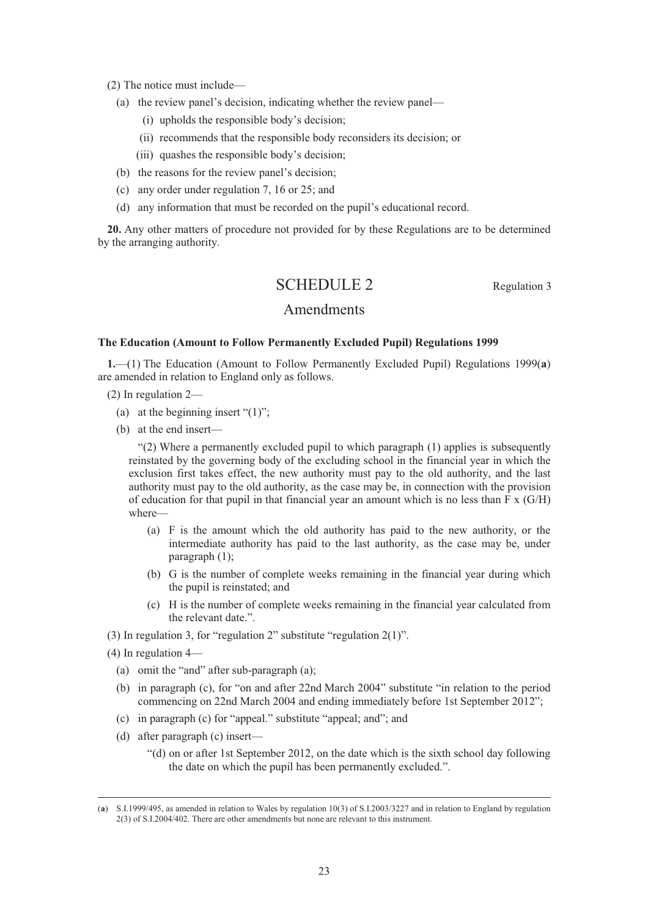(2) The notice must include—

- (a) the review panel's decision, indicating whether the review panel—
	- (i) upholds the responsible body's decision;
	- (ii) recommends that the responsible body reconsiders its decision; or
	- (iii) quashes the responsible body's decision;
- (b) the reasons for the review panel's decision;
- (c) any order under regulation 7, 16 or 25; and
- (d) any information that must be recorded on the pupil's educational record.

**20.** Any other matters of procedure not provided for by these Regulations are to be determined by the arranging authority.

# SCHEDULE 2 Regulation 3

## Amendments

#### **The Education (Amount to Follow Permanently Excluded Pupil) Regulations 1999**

**1.**—(1) The Education (Amount to Follow Permanently Excluded Pupil) Regulations 1999(**a**) are amended in relation to England only as follows.

- (2) In regulation 2—
	- (a) at the beginning insert " $(1)$ ";
	- (b) at the end insert—

"(2) Where a permanently excluded pupil to which paragraph (1) applies is subsequently reinstated by the governing body of the excluding school in the financial year in which the exclusion first takes effect, the new authority must pay to the old authority, and the last authority must pay to the old authority, as the case may be, in connection with the provision of education for that pupil in that financial year an amount which is no less than F x (G/H) where—

- (a) F is the amount which the old authority has paid to the new authority, or the intermediate authority has paid to the last authority, as the case may be, under paragraph (1);
- (b) G is the number of complete weeks remaining in the financial year during which the pupil is reinstated; and
- (c) H is the number of complete weeks remaining in the financial year calculated from the relevant date.".
- (3) In regulation 3, for "regulation 2" substitute "regulation 2(1)".

(4) In regulation 4—

- (a) omit the "and" after sub-paragraph (a);
- (b) in paragraph (c), for "on and after 22nd March 2004" substitute "in relation to the period commencing on 22nd March 2004 and ending immediately before 1st September 2012";
- (c) in paragraph (c) for "appeal." substitute "appeal; and"; and
- (d) after paragraph (c) insert—
	- "(d) on or after 1st September 2012, on the date which is the sixth school day following the date on which the pupil has been permanently excluded.".

 <sup>(</sup>**a**) S.I.1999/495, as amended in relation to Wales by regulation 10(3) of S.I.2003/3227 and in relation to England by regulation 2(3) of S.I.2004/402. There are other amendments but none are relevant to this instrument.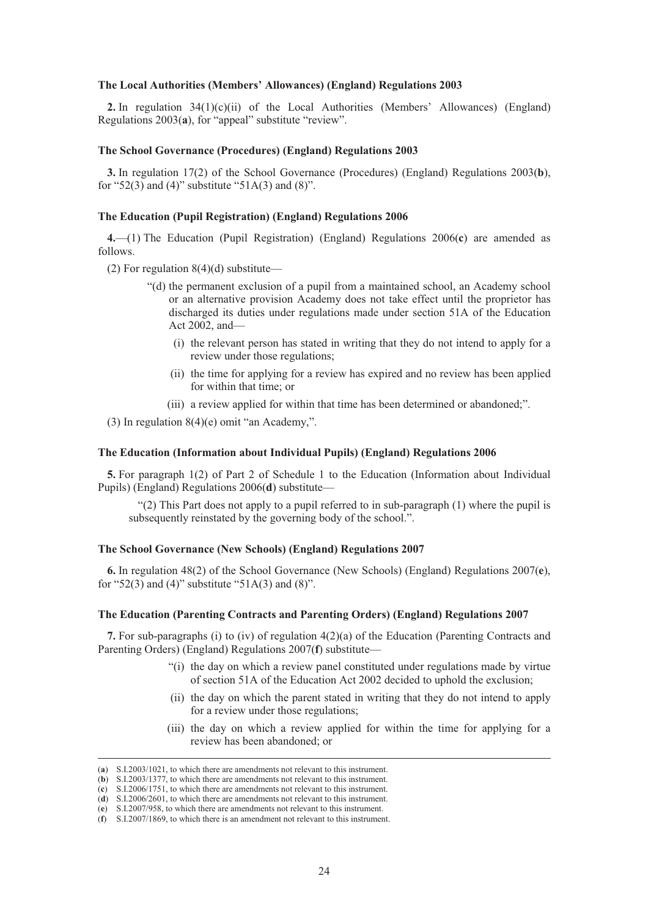#### **The Local Authorities (Members' Allowances) (England) Regulations 2003**

**2.** In regulation 34(1)(c)(ii) of the Local Authorities (Members' Allowances) (England) Regulations 2003(**a**), for "appeal" substitute "review".

#### **The School Governance (Procedures) (England) Regulations 2003**

**3.** In regulation 17(2) of the School Governance (Procedures) (England) Regulations 2003(**b**), for "52(3) and (4)" substitute "51A(3) and (8)".

#### **The Education (Pupil Registration) (England) Regulations 2006**

**4.**—(1) The Education (Pupil Registration) (England) Regulations 2006(**c**) are amended as follows.

(2) For regulation  $8(4)(d)$  substitute—

- "(d) the permanent exclusion of a pupil from a maintained school, an Academy school or an alternative provision Academy does not take effect until the proprietor has discharged its duties under regulations made under section 51A of the Education Act 2002, and—
	- (i) the relevant person has stated in writing that they do not intend to apply for a review under those regulations;
	- (ii) the time for applying for a review has expired and no review has been applied for within that time; or
	- (iii) a review applied for within that time has been determined or abandoned;".

(3) In regulation 8(4)(e) omit "an Academy,".

#### **The Education (Information about Individual Pupils) (England) Regulations 2006**

**5.** For paragraph 1(2) of Part 2 of Schedule 1 to the Education (Information about Individual Pupils) (England) Regulations 2006(**d**) substitute—

 $(2)$  This Part does not apply to a pupil referred to in sub-paragraph  $(1)$  where the pupil is subsequently reinstated by the governing body of the school.".

#### **The School Governance (New Schools) (England) Regulations 2007**

**6.** In regulation 48(2) of the School Governance (New Schools) (England) Regulations 2007(**e**), for "52(3) and (4)" substitute "51A(3) and (8)".

#### **The Education (Parenting Contracts and Parenting Orders) (England) Regulations 2007**

**7.** For sub-paragraphs (i) to (iv) of regulation 4(2)(a) of the Education (Parenting Contracts and Parenting Orders) (England) Regulations 2007(**f**) substitute—

- "(i) the day on which a review panel constituted under regulations made by virtue of section 51A of the Education Act 2002 decided to uphold the exclusion;
- (ii) the day on which the parent stated in writing that they do not intend to apply for a review under those regulations;
- (iii) the day on which a review applied for within the time for applying for a review has been abandoned; or

 <sup>(</sup>**a**) S.I.2003/1021, to which there are amendments not relevant to this instrument.

<sup>(</sup>**b**) S.I.2003/1377, to which there are amendments not relevant to this instrument.

<sup>(</sup>**c**) S.I.2006/1751, to which there are amendments not relevant to this instrument.

<sup>(</sup>**d**) S.I.2006/2601, to which there are amendments not relevant to this instrument. (**e**) S.I.2007/958, to which there are amendments not relevant to this instrument.

<sup>(</sup>**f**) S.I.2007/1869, to which there is an amendment not relevant to this instrument.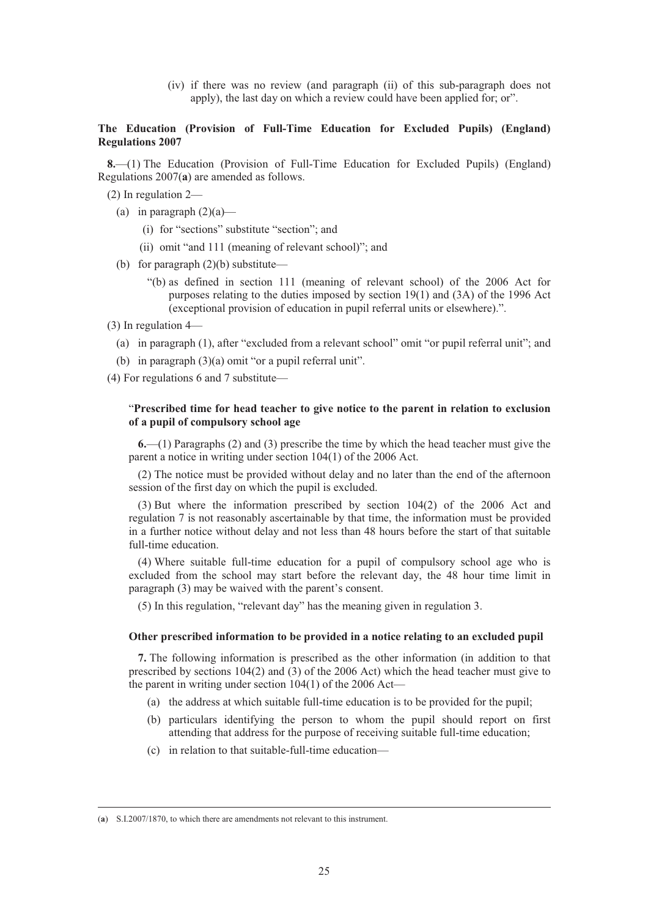(iv) if there was no review (and paragraph (ii) of this sub-paragraph does not apply), the last day on which a review could have been applied for; or".

#### **The Education (Provision of Full-Time Education for Excluded Pupils) (England) Regulations 2007**

**8.**—(1) The Education (Provision of Full-Time Education for Excluded Pupils) (England) Regulations 2007(**a**) are amended as follows.

(2) In regulation 2—

- (a) in paragraph  $(2)(a)$ 
	- (i) for "sections" substitute "section"; and
	- (ii) omit "and 111 (meaning of relevant school)"; and
- (b) for paragraph  $(2)(b)$  substitute—
	- "(b) as defined in section 111 (meaning of relevant school) of the 2006 Act for purposes relating to the duties imposed by section 19(1) and (3A) of the 1996 Act (exceptional provision of education in pupil referral units or elsewhere).".
- (3) In regulation 4—
	- (a) in paragraph (1), after "excluded from a relevant school" omit "or pupil referral unit"; and
	- (b) in paragraph (3)(a) omit "or a pupil referral unit".

(4) For regulations 6 and 7 substitute—

#### "**Prescribed time for head teacher to give notice to the parent in relation to exclusion of a pupil of compulsory school age**

**6.**—(1) Paragraphs (2) and (3) prescribe the time by which the head teacher must give the parent a notice in writing under section 104(1) of the 2006 Act.

(2) The notice must be provided without delay and no later than the end of the afternoon session of the first day on which the pupil is excluded.

(3) But where the information prescribed by section 104(2) of the 2006 Act and regulation 7 is not reasonably ascertainable by that time, the information must be provided in a further notice without delay and not less than 48 hours before the start of that suitable full-time education.

(4) Where suitable full-time education for a pupil of compulsory school age who is excluded from the school may start before the relevant day, the 48 hour time limit in paragraph (3) may be waived with the parent's consent.

(5) In this regulation, "relevant day" has the meaning given in regulation 3.

#### **Other prescribed information to be provided in a notice relating to an excluded pupil**

**7.** The following information is prescribed as the other information (in addition to that prescribed by sections 104(2) and (3) of the 2006 Act) which the head teacher must give to the parent in writing under section 104(1) of the 2006 Act—

- (a) the address at which suitable full-time education is to be provided for the pupil;
- (b) particulars identifying the person to whom the pupil should report on first attending that address for the purpose of receiving suitable full-time education;
- (c) in relation to that suitable-full-time education—

 <sup>(</sup>**a**) S.I.2007/1870, to which there are amendments not relevant to this instrument.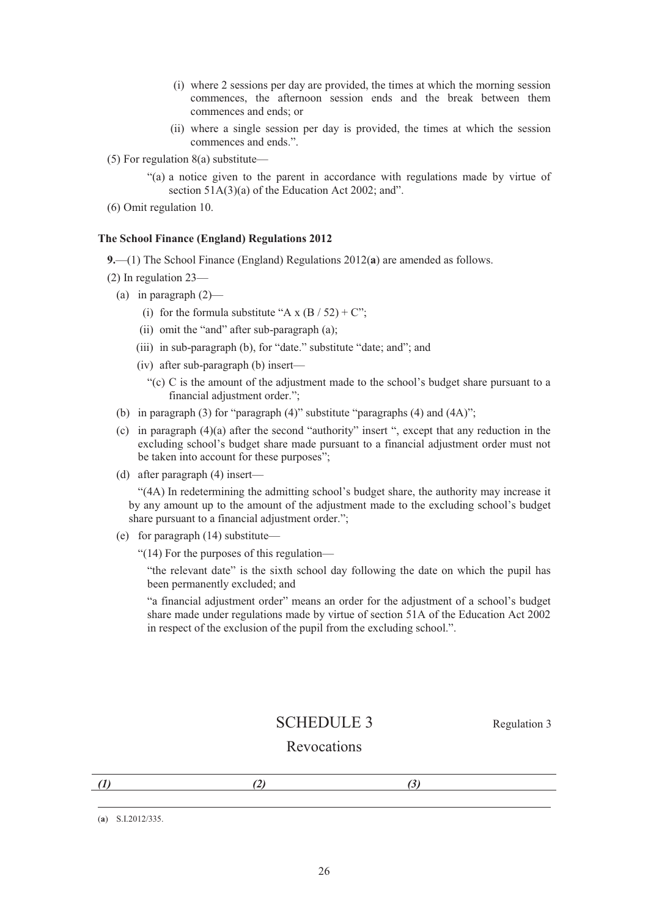- (i) where 2 sessions per day are provided, the times at which the morning session commences, the afternoon session ends and the break between them commences and ends; or
- (ii) where a single session per day is provided, the times at which the session commences and ends.".
- (5) For regulation 8(a) substitute—

"(a) a notice given to the parent in accordance with regulations made by virtue of section 51A(3)(a) of the Education Act 2002; and".

(6) Omit regulation 10.

#### **The School Finance (England) Regulations 2012**

**9.**—(1) The School Finance (England) Regulations 2012(**a**) are amended as follows.

(2) In regulation 23—

- (a) in paragraph  $(2)$ 
	- (i) for the formula substitute "A x  $(B / 52) + C$ ";
	- (ii) omit the "and" after sub-paragraph (a);
	- (iii) in sub-paragraph (b), for "date." substitute "date; and"; and
	- (iv) after sub-paragraph (b) insert—
		- "(c) C is the amount of the adjustment made to the school's budget share pursuant to a financial adjustment order.";
- (b) in paragraph (3) for "paragraph (4)" substitute "paragraphs (4) and (4A)";
- (c) in paragraph (4)(a) after the second "authority" insert ", except that any reduction in the excluding school's budget share made pursuant to a financial adjustment order must not be taken into account for these purposes";
- (d) after paragraph (4) insert—

"(4A) In redetermining the admitting school's budget share, the authority may increase it by any amount up to the amount of the adjustment made to the excluding school's budget share pursuant to a financial adjustment order.";

(e) for paragraph (14) substitute—

"(14) For the purposes of this regulation—

"the relevant date" is the sixth school day following the date on which the pupil has been permanently excluded; and

"a financial adjustment order" means an order for the adjustment of a school's budget share made under regulations made by virtue of section 51A of the Education Act 2002 in respect of the exclusion of the pupil from the excluding school.".

## SCHEDULE 3 Regulation 3

# Revocations

(**a**) S.I.2012/335.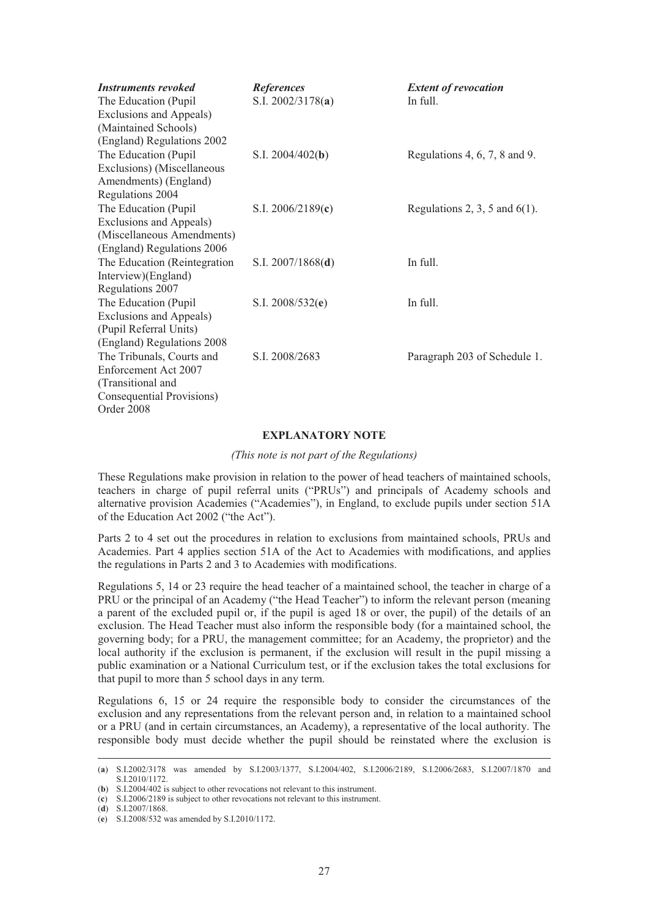| <b>Instruments revoked</b>    | <b>References</b>   | <b>Extent of revocation</b>      |
|-------------------------------|---------------------|----------------------------------|
| The Education (Pupil          | S.I. $2002/3178(a)$ | In full.                         |
| Exclusions and Appeals)       |                     |                                  |
| (Maintained Schools)          |                     |                                  |
| (England) Regulations 2002    |                     |                                  |
| The Education (Pupil)         | S.I. $2004/402(b)$  | Regulations 4, $6, 7, 8$ and 9.  |
| Exclusions) (Miscellaneous    |                     |                                  |
| Amendments) (England)         |                     |                                  |
| Regulations 2004              |                     |                                  |
| The Education (Pupil)         | S.I. $2006/2189(c)$ | Regulations 2, 3, 5 and $6(1)$ . |
| Exclusions and Appeals)       |                     |                                  |
| (Miscellaneous Amendments)    |                     |                                  |
| (England) Regulations 2006    |                     |                                  |
| The Education (Reintegration) | S.I. $2007/1868(d)$ | In full.                         |
| Interview)(England)           |                     |                                  |
| Regulations 2007              |                     |                                  |
| The Education (Pupil)         | S.I. $2008/532(e)$  | In full.                         |
| Exclusions and Appeals)       |                     |                                  |
| (Pupil Referral Units)        |                     |                                  |
| (England) Regulations 2008    |                     |                                  |
| The Tribunals, Courts and     | S.I. 2008/2683      | Paragraph 203 of Schedule 1.     |
| Enforcement Act 2007          |                     |                                  |
| (Transitional and             |                     |                                  |
| Consequential Provisions)     |                     |                                  |
| Order 2008                    |                     |                                  |

#### **EXPLANATORY NOTE**

*(This note is not part of the Regulations)* 

These Regulations make provision in relation to the power of head teachers of maintained schools, teachers in charge of pupil referral units ("PRUs") and principals of Academy schools and alternative provision Academies ("Academies"), in England, to exclude pupils under section 51A of the Education Act 2002 ("the Act").

Parts 2 to 4 set out the procedures in relation to exclusions from maintained schools, PRUs and Academies. Part 4 applies section 51A of the Act to Academies with modifications, and applies the regulations in Parts 2 and 3 to Academies with modifications.

Regulations 5, 14 or 23 require the head teacher of a maintained school, the teacher in charge of a PRU or the principal of an Academy ("the Head Teacher") to inform the relevant person (meaning a parent of the excluded pupil or, if the pupil is aged 18 or over, the pupil) of the details of an exclusion. The Head Teacher must also inform the responsible body (for a maintained school, the governing body; for a PRU, the management committee; for an Academy, the proprietor) and the local authority if the exclusion is permanent, if the exclusion will result in the pupil missing a public examination or a National Curriculum test, or if the exclusion takes the total exclusions for that pupil to more than 5 school days in any term.

Regulations 6, 15 or 24 require the responsible body to consider the circumstances of the exclusion and any representations from the relevant person and, in relation to a maintained school or a PRU (and in certain circumstances, an Academy), a representative of the local authority. The responsible body must decide whether the pupil should be reinstated where the exclusion is

 <sup>(</sup>**a**) S.I.2002/3178 was amended by S.I.2003/1377, S.I.2004/402, S.I.2006/2189, S.I.2006/2683, S.I.2007/1870 and S.I.2010/1172.

<sup>(</sup>**b**) S.I.2004/402 is subject to other revocations not relevant to this instrument.

<sup>(</sup>**c**) S.I.2006/2189 is subject to other revocations not relevant to this instrument.

<sup>(</sup>**d**) S.I.2007/1868.

<sup>(</sup>**e**) S.I.2008/532 was amended by S.I.2010/1172.